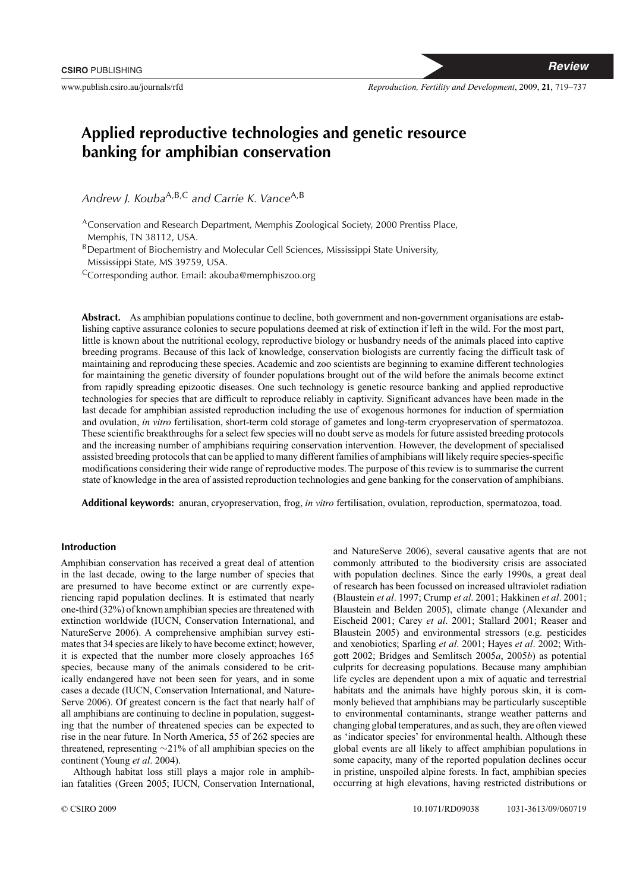# **Applied reproductive technologies and genetic resource banking for amphibian conservation**

*Andrew J. Kouba*A,B,C *and Carrie K. Vance*A,B

<sup>A</sup>Conservation and Research Department, Memphis Zoological Society, 2000 Prentiss Place, Memphis, TN 38112, USA.

BDepartment of Biochemistry and Molecular Cell Sciences, Mississippi State University,

Mississippi State, MS 39759, USA.

 $C$ Corresponding author. Email: akouba@memphiszoo.org

**Abstract.** As amphibian populations continue to decline, both government and non-government organisations are establishing captive assurance colonies to secure populations deemed at risk of extinction if left in the wild. For the most part, little is known about the nutritional ecology, reproductive biology or husbandry needs of the animals placed into captive breeding programs. Because of this lack of knowledge, conservation biologists are currently facing the difficult task of maintaining and reproducing these species. Academic and zoo scientists are beginning to examine different technologies for maintaining the genetic diversity of founder populations brought out of the wild before the animals become extinct from rapidly spreading epizootic diseases. One such technology is genetic resource banking and applied reproductive technologies for species that are difficult to reproduce reliably in captivity. Significant advances have been made in the last decade for amphibian assisted reproduction including the use of exogenous hormones for induction of spermiation and ovulation, *in vitro* fertilisation, short-term cold storage of gametes and long-term cryopreservation of spermatozoa. These scientific breakthroughs for a select few species will no doubt serve as models for future assisted breeding protocols and the increasing number of amphibians requiring conservation intervention. However, the development of specialised assisted breeding protocols that can be applied to many different families of amphibians will likely require species-specific modifications considering their wide range of reproductive modes. The purpose of this review is to summarise the current state of knowledge in the area of assisted reproduction technologies and gene banking for the conservation of amphibians.

**Additional keywords:** anuran, cryopreservation, frog, *in vitro* fertilisation, ovulation, reproduction, spermatozoa, toad.

# **Introduction**

Amphibian conservation has received a great deal of attention in the last decade, owing to the large number of species that are presumed to have become extinct or are currently experiencing rapid population declines. It is estimated that nearly one-third (32%) of known amphibian species are threatened with extinction worldwide (IUCN, Conservation International, and NatureServe 2006). A comprehensive amphibian survey estimates that 34 species are likely to have become extinct; however, it is expected that the number more closely approaches 165 species, because many of the animals considered to be critically endangered have not been seen for years, and in some cases a decade (IUCN, Conservation International, and Nature-Serve 2006). Of greatest concern is the fact that nearly half of all amphibians are continuing to decline in population, suggesting that the number of threatened species can be expected to rise in the near future. In North America, 55 of 262 species are threatened, representing ∼21% of all amphibian species on the continent (Young *et al*. 2004).

Although habitat loss still plays a major role in amphibian fatalities (Green 2005; IUCN, Conservation International, and NatureServe 2006), several causative agents that are not commonly attributed to the biodiversity crisis are associated with population declines. Since the early 1990s, a great deal of research has been focussed on increased ultraviolet radiation (Blaustein *et al*. 1997; Crump *et al*. 2001; Hakkinen *et al*. 2001; Blaustein and Belden 2005), climate change (Alexander and Eischeid 2001; Carey *et al*. 2001; Stallard 2001; Reaser and Blaustein 2005) and environmental stressors (e.g. pesticides and xenobiotics; Sparling *et al*. 2001; Hayes *et al*. 2002; Withgott 2002; Bridges and Semlitsch 2005*a*, 2005*b*) as potential culprits for decreasing populations. Because many amphibian life cycles are dependent upon a mix of aquatic and terrestrial habitats and the animals have highly porous skin, it is commonly believed that amphibians may be particularly susceptible to environmental contaminants, strange weather patterns and changing global temperatures, and as such, they are often viewed as 'indicator species' for environmental health. Although these global events are all likely to affect amphibian populations in some capacity, many of the reported population declines occur in pristine, unspoiled alpine forests. In fact, amphibian species occurring at high elevations, having restricted distributions or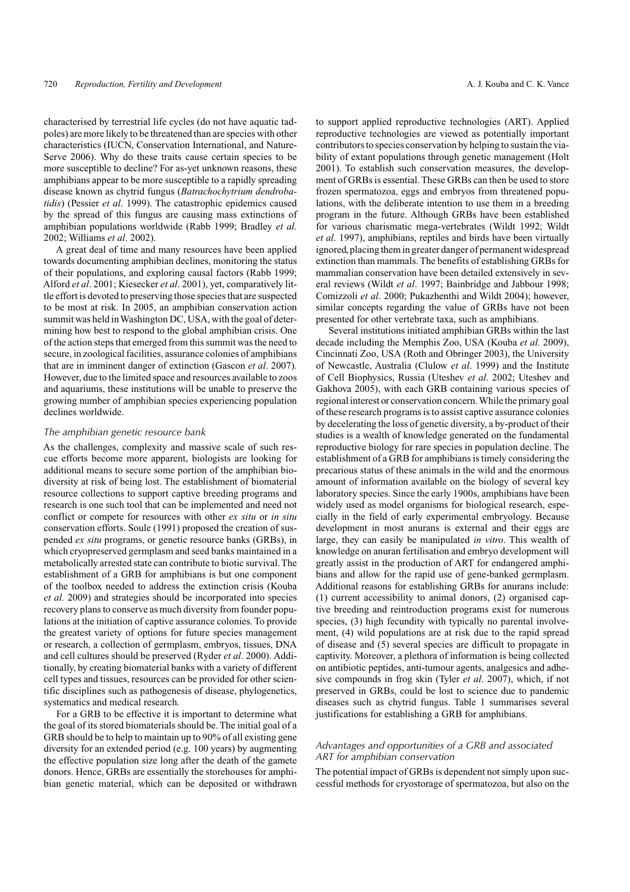characterised by terrestrial life cycles (do not have aquatic tadpoles) are more likely to be threatened than are species with other characteristics (IUCN, Conservation International, and Nature-Serve 2006). Why do these traits cause certain species to be more susceptible to decline? For as-yet unknown reasons, these amphibians appear to be more susceptible to a rapidly spreading disease known as chytrid fungus (*Batrachochytrium dendrobatidis*) (Pessier *et al*. 1999). The catastrophic epidemics caused by the spread of this fungus are causing mass extinctions of amphibian populations worldwide (Rabb 1999; Bradley *et al*. 2002; Williams *et al*. 2002).

A great deal of time and many resources have been applied towards documenting amphibian declines, monitoring the status of their populations, and exploring causal factors (Rabb 1999; Alford *et al*. 2001; Kiesecker *et al*. 2001), yet, comparatively little effort is devoted to preserving those species that are suspected to be most at risk. In 2005, an amphibian conservation action summit was held in Washington DC, USA, with the goal of determining how best to respond to the global amphibian crisis. One of the action steps that emerged from this summit was the need to secure, in zoological facilities, assurance colonies of amphibians that are in imminent danger of extinction (Gascon *et al*. 2007). However, due to the limited space and resources available to zoos and aquariums, these institutions will be unable to preserve the growing number of amphibian species experiencing population declines worldwide.

# *The amphibian genetic resource bank*

As the challenges, complexity and massive scale of such rescue efforts become more apparent, biologists are looking for additional means to secure some portion of the amphibian biodiversity at risk of being lost. The establishment of biomaterial resource collections to support captive breeding programs and research is one such tool that can be implemented and need not conflict or compete for resources with other *ex situ* or *in situ* conservation efforts. Soule (1991) proposed the creation of suspended *ex situ* programs, or genetic resource banks (GRBs), in which cryopreserved germplasm and seed banks maintained in a metabolically arrested state can contribute to biotic survival.The establishment of a GRB for amphibians is but one component of the toolbox needed to address the extinction crisis (Kouba *et al.* 2009) and strategies should be incorporated into species recovery plans to conserve as much diversity from founder populations at the initiation of captive assurance colonies. To provide the greatest variety of options for future species management or research, a collection of germplasm, embryos, tissues, DNA and cell cultures should be preserved (Ryder *et al*. 2000). Additionally, by creating biomaterial banks with a variety of different cell types and tissues, resources can be provided for other scientific disciplines such as pathogenesis of disease, phylogenetics, systematics and medical research.

For a GRB to be effective it is important to determine what the goal of its stored biomaterials should be. The initial goal of a GRB should be to help to maintain up to 90% of all existing gene diversity for an extended period (e.g. 100 years) by augmenting the effective population size long after the death of the gamete donors. Hence, GRBs are essentially the storehouses for amphibian genetic material, which can be deposited or withdrawn to support applied reproductive technologies (ART). Applied reproductive technologies are viewed as potentially important contributors to species conservation by helping to sustain the viability of extant populations through genetic management (Holt 2001). To establish such conservation measures, the development of GRBs is essential. These GRBs can then be used to store frozen spermatozoa, eggs and embryos from threatened populations, with the deliberate intention to use them in a breeding program in the future. Although GRBs have been established for various charismatic mega-vertebrates (Wildt 1992; Wildt *et al*. 1997), amphibians, reptiles and birds have been virtually ignored, placing them in greater danger of permanent widespread extinction than mammals. The benefits of establishing GRBs for mammalian conservation have been detailed extensively in several reviews (Wildt *et al*. 1997; Bainbridge and Jabbour 1998; Comizzoli *et al*. 2000; Pukazhenthi and Wildt 2004); however, similar concepts regarding the value of GRBs have not been presented for other vertebrate taxa, such as amphibians.

Several institutions initiated amphibian GRBs within the last decade including the Memphis Zoo, USA (Kouba *et al.* 2009), Cincinnati Zoo, USA (Roth and Obringer 2003), the University of Newcastle, Australia (Clulow *et al*. 1999) and the Institute of Cell Biophysics, Russia (Uteshev *et al*. 2002; Uteshev and Gakhova 2005), with each GRB containing various species of regional interest or conservation concern.While the primary goal of these research programs is to assist captive assurance colonies by decelerating the loss of genetic diversity, a by-product of their studies is a wealth of knowledge generated on the fundamental reproductive biology for rare species in population decline. The establishment of a GRB for amphibians is timely considering the precarious status of these animals in the wild and the enormous amount of information available on the biology of several key laboratory species. Since the early 1900s, amphibians have been widely used as model organisms for biological research, especially in the field of early experimental embryology. Because development in most anurans is external and their eggs are large, they can easily be manipulated *in vitro*. This wealth of knowledge on anuran fertilisation and embryo development will greatly assist in the production of ART for endangered amphibians and allow for the rapid use of gene-banked germplasm. Additional reasons for establishing GRBs for anurans include: (1) current accessibility to animal donors, (2) organised captive breeding and reintroduction programs exist for numerous species, (3) high fecundity with typically no parental involvement, (4) wild populations are at risk due to the rapid spread of disease and (5) several species are difficult to propagate in captivity. Moreover, a plethora of information is being collected on antibiotic peptides, anti-tumour agents, analgesics and adhesive compounds in frog skin (Tyler *et al*. 2007), which, if not preserved in GRBs, could be lost to science due to pandemic diseases such as chytrid fungus. Table 1 summarises several justifications for establishing a GRB for amphibians.

# *Advantages and opportunities of a GRB and associated ART for amphibian conservation*

The potential impact of GRBs is dependent not simply upon successful methods for cryostorage of spermatozoa, but also on the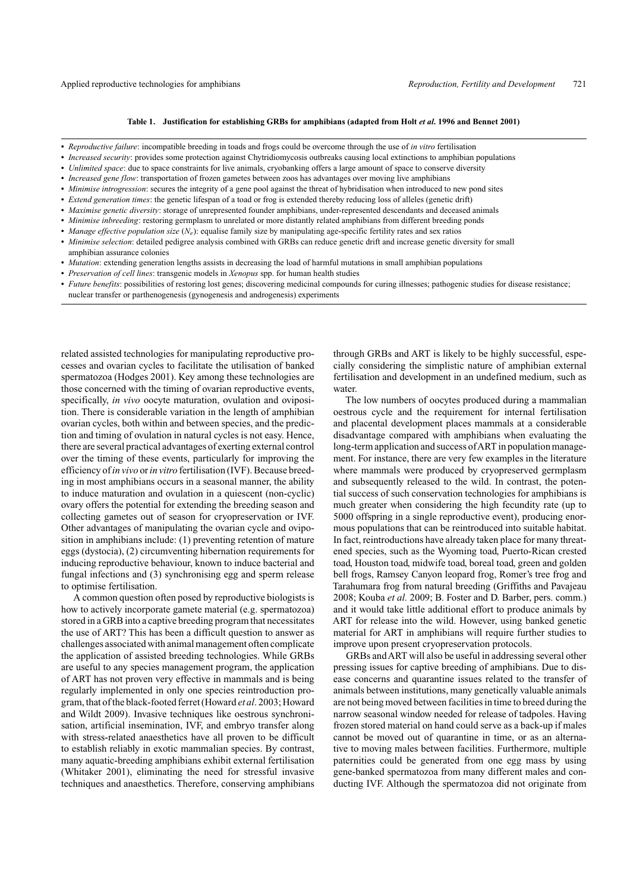#### **Table 1. Justification for establishing GRBs for amphibians (adapted from Holt** *et al***. 1996 and Bennet 2001)**

- *Reproductive failure*: incompatible breeding in toads and frogs could be overcome through the use of *in vitro* fertilisation
- *Increased security*: provides some protection against Chytridiomycosis outbreaks causing local extinctions to amphibian populations
- *Unlimited space*: due to space constraints for live animals, cryobanking offers a large amount of space to conserve diversity
- *Increased gene flow*: transportation of frozen gametes between zoos has advantages over moving live amphibians
- *Minimise introgression*: secures the integrity of a gene pool against the threat of hybridisation when introduced to new pond sites
- *Extend generation times*: the genetic lifespan of a toad or frog is extended thereby reducing loss of alleles (genetic drift)
- *Maximise genetic diversity*: storage of unrepresented founder amphibians, under-represented descendants and deceased animals
- *Minimise inbreeding*: restoring germplasm to unrelated or more distantly related amphibians from different breeding ponds
- *Manage effective population size* (*Ne*): equalise family size by manipulating age-specific fertility rates and sex ratios
- *Minimise selection*: detailed pedigree analysis combined with GRBs can reduce genetic drift and increase genetic diversity for small amphibian assurance colonies
- *Mutation*: extending generation lengths assists in decreasing the load of harmful mutations in small amphibian populations
- *Preservation of cell lines*: transgenic models in *Xenopus* spp. for human health studies
- *Future benefits*: possibilities of restoring lost genes; discovering medicinal compounds for curing illnesses; pathogenic studies for disease resistance; nuclear transfer or parthenogenesis (gynogenesis and androgenesis) experiments

related assisted technologies for manipulating reproductive processes and ovarian cycles to facilitate the utilisation of banked spermatozoa (Hodges 2001). Key among these technologies are those concerned with the timing of ovarian reproductive events, specifically, *in vivo* oocyte maturation, ovulation and oviposition. There is considerable variation in the length of amphibian ovarian cycles, both within and between species, and the prediction and timing of ovulation in natural cycles is not easy. Hence, there are several practical advantages of exerting external control over the timing of these events, particularly for improving the efficiency of*in vivo* or*in vitro* fertilisation (IVF). Because breeding in most amphibians occurs in a seasonal manner, the ability to induce maturation and ovulation in a quiescent (non-cyclic) ovary offers the potential for extending the breeding season and collecting gametes out of season for cryopreservation or IVF. Other advantages of manipulating the ovarian cycle and oviposition in amphibians include: (1) preventing retention of mature eggs (dystocia), (2) circumventing hibernation requirements for inducing reproductive behaviour, known to induce bacterial and fungal infections and (3) synchronising egg and sperm release to optimise fertilisation.

A common question often posed by reproductive biologists is how to actively incorporate gamete material (e.g. spermatozoa) stored in a GRB into a captive breeding program that necessitates the use of ART? This has been a difficult question to answer as challenges associated with animal management often complicate the application of assisted breeding technologies. While GRBs are useful to any species management program, the application of ART has not proven very effective in mammals and is being regularly implemented in only one species reintroduction program, that of the black-footed ferret (Howard *et al*. 2003; Howard and Wildt 2009). Invasive techniques like oestrous synchronisation, artificial insemination, IVF, and embryo transfer along with stress-related anaesthetics have all proven to be difficult to establish reliably in exotic mammalian species. By contrast, many aquatic-breeding amphibians exhibit external fertilisation (Whitaker 2001), eliminating the need for stressful invasive techniques and anaesthetics. Therefore, conserving amphibians

through GRBs and ART is likely to be highly successful, especially considering the simplistic nature of amphibian external fertilisation and development in an undefined medium, such as water.

The low numbers of oocytes produced during a mammalian oestrous cycle and the requirement for internal fertilisation and placental development places mammals at a considerable disadvantage compared with amphibians when evaluating the long-term application and success ofART in population management. For instance, there are very few examples in the literature where mammals were produced by cryopreserved germplasm and subsequently released to the wild. In contrast, the potential success of such conservation technologies for amphibians is much greater when considering the high fecundity rate (up to 5000 offspring in a single reproductive event), producing enormous populations that can be reintroduced into suitable habitat. In fact, reintroductions have already taken place for many threatened species, such as the Wyoming toad, Puerto-Rican crested toad, Houston toad, midwife toad, boreal toad, green and golden bell frogs, Ramsey Canyon leopard frog, Romer's tree frog and Tarahumara frog from natural breeding (Griffiths and Pavajeau 2008; Kouba *et al.* 2009; B. Foster and D. Barber, pers. comm.) and it would take little additional effort to produce animals by ART for release into the wild. However, using banked genetic material for ART in amphibians will require further studies to improve upon present cryopreservation protocols.

GRBs andART will also be useful in addressing several other pressing issues for captive breeding of amphibians. Due to disease concerns and quarantine issues related to the transfer of animals between institutions, many genetically valuable animals are not being moved between facilities in time to breed during the narrow seasonal window needed for release of tadpoles. Having frozen stored material on hand could serve as a back-up if males cannot be moved out of quarantine in time, or as an alternative to moving males between facilities. Furthermore, multiple paternities could be generated from one egg mass by using gene-banked spermatozoa from many different males and conducting IVF. Although the spermatozoa did not originate from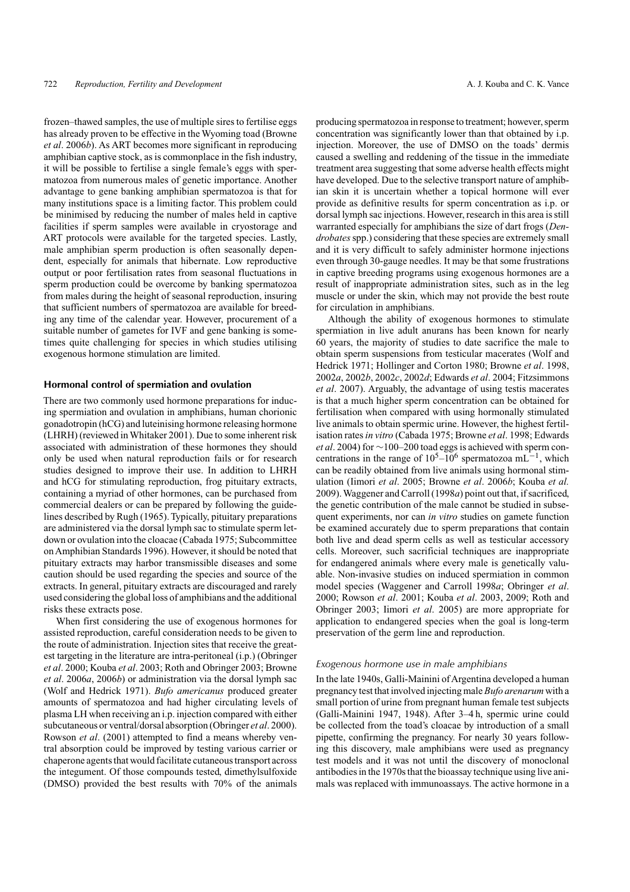frozen–thawed samples, the use of multiple sires to fertilise eggs has already proven to be effective in the Wyoming toad (Browne *et al*. 2006*b*). As ART becomes more significant in reproducing amphibian captive stock, as is commonplace in the fish industry, it will be possible to fertilise a single female's eggs with spermatozoa from numerous males of genetic importance. Another advantage to gene banking amphibian spermatozoa is that for many institutions space is a limiting factor. This problem could be minimised by reducing the number of males held in captive facilities if sperm samples were available in cryostorage and ART protocols were available for the targeted species. Lastly, male amphibian sperm production is often seasonally dependent, especially for animals that hibernate. Low reproductive output or poor fertilisation rates from seasonal fluctuations in sperm production could be overcome by banking spermatozoa from males during the height of seasonal reproduction, insuring that sufficient numbers of spermatozoa are available for breeding any time of the calendar year. However, procurement of a suitable number of gametes for IVF and gene banking is sometimes quite challenging for species in which studies utilising exogenous hormone stimulation are limited.

# **Hormonal control of spermiation and ovulation**

There are two commonly used hormone preparations for inducing spermiation and ovulation in amphibians, human chorionic gonadotropin (hCG) and luteinising hormone releasing hormone (LHRH) (reviewed in Whitaker 2001). Due to some inherent risk associated with administration of these hormones they should only be used when natural reproduction fails or for research studies designed to improve their use. In addition to LHRH and hCG for stimulating reproduction, frog pituitary extracts, containing a myriad of other hormones, can be purchased from commercial dealers or can be prepared by following the guidelines described by Rugh (1965). Typically, pituitary preparations are administered via the dorsal lymph sac to stimulate sperm letdown or ovulation into the cloacae (Cabada 1975; Subcommittee on Amphibian Standards 1996). However, it should be noted that pituitary extracts may harbor transmissible diseases and some caution should be used regarding the species and source of the extracts. In general, pituitary extracts are discouraged and rarely used considering the global loss of amphibians and the additional risks these extracts pose.

When first considering the use of exogenous hormones for assisted reproduction, careful consideration needs to be given to the route of administration. Injection sites that receive the greatest targeting in the literature are intra-peritoneal (i.p.) (Obringer *et al*. 2000; Kouba *et al*. 2003; Roth and Obringer 2003; Browne *et al*. 2006*a*, 2006*b*) or administration via the dorsal lymph sac (Wolf and Hedrick 1971). *Bufo americanus* produced greater amounts of spermatozoa and had higher circulating levels of plasma LH when receiving an i.p. injection compared with either subcutaneous or ventral/dorsal absorption (Obringer *et al*. 2000). Rowson *et al*. (2001) attempted to find a means whereby ventral absorption could be improved by testing various carrier or chaperone agents that would facilitate cutaneous transport across the integument. Of those compounds tested, dimethylsulfoxide (DMSO) provided the best results with 70% of the animals producing spermatozoa in response to treatment; however, sperm concentration was significantly lower than that obtained by i.p. injection. Moreover, the use of DMSO on the toads' dermis caused a swelling and reddening of the tissue in the immediate treatment area suggesting that some adverse health effects might have developed. Due to the selective transport nature of amphibian skin it is uncertain whether a topical hormone will ever provide as definitive results for sperm concentration as i.p. or dorsal lymph sac injections. However, research in this area is still warranted especially for amphibians the size of dart frogs (*Dendrobates*spp.) considering that these species are extremely small and it is very difficult to safely administer hormone injections even through 30-gauge needles. It may be that some frustrations in captive breeding programs using exogenous hormones are a result of inappropriate administration sites, such as in the leg muscle or under the skin, which may not provide the best route for circulation in amphibians.

Although the ability of exogenous hormones to stimulate spermiation in live adult anurans has been known for nearly 60 years, the majority of studies to date sacrifice the male to obtain sperm suspensions from testicular macerates (Wolf and Hedrick 1971; Hollinger and Corton 1980; Browne *et al*. 1998, 2002*a*, 2002*b*, 2002*c*, 2002*d*; Edwards *et al*. 2004; Fitzsimmons *et al*. 2007). Arguably, the advantage of using testis macerates is that a much higher sperm concentration can be obtained for fertilisation when compared with using hormonally stimulated live animals to obtain spermic urine. However, the highest fertilisation rates*in vitro* (Cabada 1975; Browne *et al*. 1998; Edwards *et al.* 2004) for ∼100–200 toad eggs is achieved with sperm concentrations in the range of  $10^5$ – $10^6$  spermatozoa mL<sup>-1</sup>, which can be readily obtained from live animals using hormonal stimulation (Iimori *et al*. 2005; Browne *et al*. 2006*b*; Kouba *et al.* 2009). Waggener and Carroll (1998*a*) point out that, if sacrificed, the genetic contribution of the male cannot be studied in subsequent experiments, nor can *in vitro* studies on gamete function be examined accurately due to sperm preparations that contain both live and dead sperm cells as well as testicular accessory cells. Moreover, such sacrificial techniques are inappropriate for endangered animals where every male is genetically valuable. Non-invasive studies on induced spermiation in common model species (Waggener and Carroll 1998*a*; Obringer *et al*. 2000; Rowson *et al*. 2001; Kouba *et al*. 2003, 2009; Roth and Obringer 2003; Iimori *et al*. 2005) are more appropriate for application to endangered species when the goal is long-term preservation of the germ line and reproduction.

# *Exogenous hormone use in male amphibians*

In the late 1940s, Galli-Mainini of Argentina developed a human pregnancy test that involved injecting male*Bufo arenarum* with a small portion of urine from pregnant human female test subjects (Galli-Mainini 1947, 1948). After 3–4 h, spermic urine could be collected from the toad's cloacae by introduction of a small pipette, confirming the pregnancy. For nearly 30 years following this discovery, male amphibians were used as pregnancy test models and it was not until the discovery of monoclonal antibodies in the 1970s that the bioassay technique using live animals was replaced with immunoassays. The active hormone in a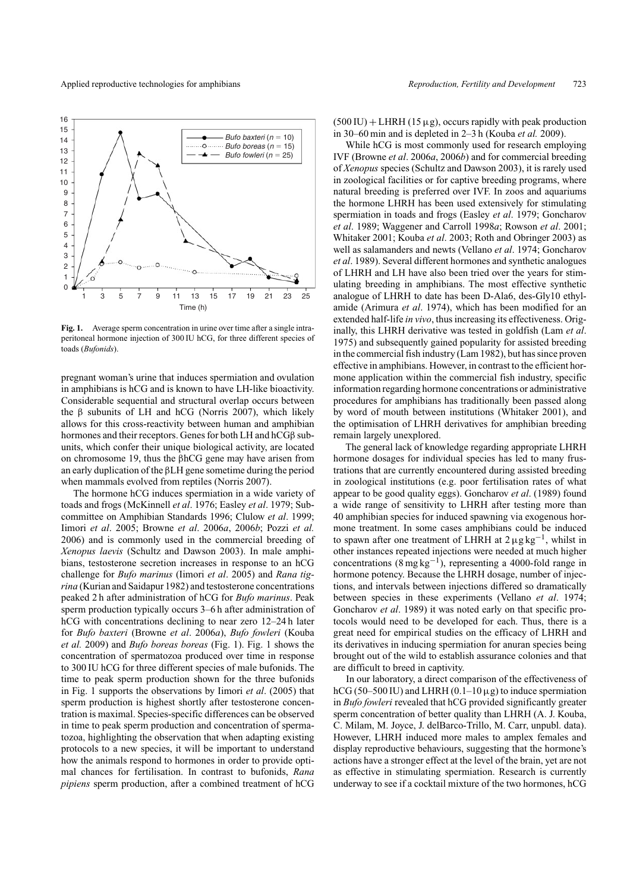

**Fig. 1.** Average sperm concentration in urine over time after a single intraperitoneal hormone injection of 300 IU hCG, for three different species of toads (*Bufonids*).

pregnant woman's urine that induces spermiation and ovulation in amphibians is hCG and is known to have LH-like bioactivity. Considerable sequential and structural overlap occurs between the β subunits of LH and hCG (Norris 2007), which likely allows for this cross-reactivity between human and amphibian hormones and their receptors. Genes for both LH and hCGβ subunits, which confer their unique biological activity, are located on chromosome 19, thus the βhCG gene may have arisen from an early duplication of the βLH gene sometime during the period when mammals evolved from reptiles (Norris 2007).

The hormone hCG induces spermiation in a wide variety of toads and frogs (McKinnell *et al*. 1976; Easley *et al*. 1979; Subcommittee on Amphibian Standards 1996; Clulow *et al*. 1999; Iimori *et al*. 2005; Browne *et al*. 2006*a*, 2006*b*; Pozzi *et al.* 2006) and is commonly used in the commercial breeding of *Xenopus laevis* (Schultz and Dawson 2003). In male amphibians, testosterone secretion increases in response to an hCG challenge for *Bufo marinus* (Iimori *et al*. 2005) and *Rana tigrina* (Kurian and Saidapur 1982) and testosterone concentrations peaked 2 h after administration of hCG for *Bufo marinus*. Peak sperm production typically occurs 3–6 h after administration of hCG with concentrations declining to near zero 12–24 h later for *Bufo baxteri* (Browne *et al*. 2006*a*), *Bufo fowleri* (Kouba *et al.* 2009) and *Bufo boreas boreas* (Fig. 1). Fig. 1 shows the concentration of spermatozoa produced over time in response to 300 IU hCG for three different species of male bufonids. The time to peak sperm production shown for the three bufonids in Fig. 1 supports the observations by Iimori *et al*. (2005) that sperm production is highest shortly after testosterone concentration is maximal. Species-specific differences can be observed in time to peak sperm production and concentration of spermatozoa, highlighting the observation that when adapting existing protocols to a new species, it will be important to understand how the animals respond to hormones in order to provide optimal chances for fertilisation. In contrast to bufonids, *Rana pipiens* sperm production, after a combined treatment of hCG

 $(500 \text{ IU}) + \text{LHRH} (15 \mu \text{g})$ , occurs rapidly with peak production in 30–60 min and is depleted in 2–3 h (Kouba *et al.* 2009).

While hCG is most commonly used for research employing IVF (Browne *et al*. 2006*a*, 2006*b*) and for commercial breeding of *Xenopus* species (Schultz and Dawson 2003), it is rarely used in zoological facilities or for captive breeding programs, where natural breeding is preferred over IVF. In zoos and aquariums the hormone LHRH has been used extensively for stimulating spermiation in toads and frogs (Easley *et al*. 1979; Goncharov *et al*. 1989; Waggener and Carroll 1998*a*; Rowson *et al*. 2001; Whitaker 2001; Kouba *et al*. 2003; Roth and Obringer 2003) as well as salamanders and newts (Vellano *et al*. 1974; Goncharov *et al*. 1989). Several different hormones and synthetic analogues of LHRH and LH have also been tried over the years for stimulating breeding in amphibians. The most effective synthetic analogue of LHRH to date has been D-Ala6, des-Gly10 ethylamide (Arimura *et al*. 1974), which has been modified for an extended half-life *in vivo*, thus increasing its effectiveness. Originally, this LHRH derivative was tested in goldfish (Lam *et al*. 1975) and subsequently gained popularity for assisted breeding in the commercial fish industry (Lam 1982), but has since proven effective in amphibians. However, in contrast to the efficient hormone application within the commercial fish industry, specific information regarding hormone concentrations or administrative procedures for amphibians has traditionally been passed along by word of mouth between institutions (Whitaker 2001), and the optimisation of LHRH derivatives for amphibian breeding remain largely unexplored.

The general lack of knowledge regarding appropriate LHRH hormone dosages for individual species has led to many frustrations that are currently encountered during assisted breeding in zoological institutions (e.g. poor fertilisation rates of what appear to be good quality eggs). Goncharov *et al*. (1989) found a wide range of sensitivity to LHRH after testing more than 40 amphibian species for induced spawning via exogenous hormone treatment. In some cases amphibians could be induced to spawn after one treatment of LHRH at  $2 \mu g kg^{-1}$ , whilst in other instances repeated injections were needed at much higher concentrations  $(8 \text{ mg kg}^{-1})$ , representing a 4000-fold range in hormone potency. Because the LHRH dosage, number of injections, and intervals between injections differed so dramatically between species in these experiments (Vellano *et al*. 1974; Goncharov *et al*. 1989) it was noted early on that specific protocols would need to be developed for each. Thus, there is a great need for empirical studies on the efficacy of LHRH and its derivatives in inducing spermiation for anuran species being brought out of the wild to establish assurance colonies and that are difficult to breed in captivity.

In our laboratory, a direct comparison of the effectiveness of hCG (50–500 IU) and LHRH (0.1–10  $\mu$ g) to induce spermiation in *Bufo fowleri* revealed that hCG provided significantly greater sperm concentration of better quality than LHRH (A. J. Kouba, C. Milam, M. Joyce, J. delBarco-Trillo, M. Carr, unpubl. data). However, LHRH induced more males to amplex females and display reproductive behaviours, suggesting that the hormone's actions have a stronger effect at the level of the brain, yet are not as effective in stimulating spermiation. Research is currently underway to see if a cocktail mixture of the two hormones, hCG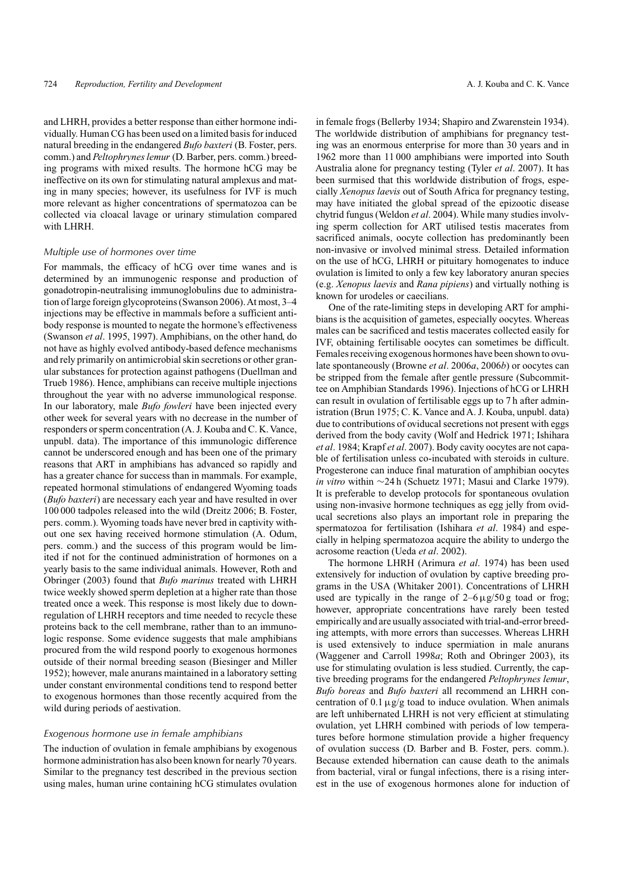and LHRH, provides a better response than either hormone individually. Human CG has been used on a limited basis for induced natural breeding in the endangered *Bufo baxteri* (B. Foster, pers. comm.) and *Peltophrynes lemur* (D. Barber, pers. comm.) breeding programs with mixed results. The hormone hCG may be ineffective on its own for stimulating natural amplexus and mating in many species; however, its usefulness for IVF is much more relevant as higher concentrations of spermatozoa can be collected via cloacal lavage or urinary stimulation compared with LHRH.

## *Multiple use of hormones over time*

For mammals, the efficacy of hCG over time wanes and is determined by an immunogenic response and production of gonadotropin-neutralising immunoglobulins due to administration of large foreign glycoproteins (Swanson 2006).At most, 3–4 injections may be effective in mammals before a sufficient antibody response is mounted to negate the hormone's effectiveness (Swanson *et al*. 1995, 1997). Amphibians, on the other hand, do not have as highly evolved antibody-based defence mechanisms and rely primarily on antimicrobial skin secretions or other granular substances for protection against pathogens (Duellman and Trueb 1986). Hence, amphibians can receive multiple injections throughout the year with no adverse immunological response. In our laboratory, male *Bufo fowleri* have been injected every other week for several years with no decrease in the number of responders or sperm concentration (A. J. Kouba and C. K. Vance, unpubl. data). The importance of this immunologic difference cannot be underscored enough and has been one of the primary reasons that ART in amphibians has advanced so rapidly and has a greater chance for success than in mammals. For example, repeated hormonal stimulations of endangered Wyoming toads (*Bufo baxteri*) are necessary each year and have resulted in over 100 000 tadpoles released into the wild (Dreitz 2006; B. Foster, pers. comm.). Wyoming toads have never bred in captivity without one sex having received hormone stimulation (A. Odum, pers. comm.) and the success of this program would be limited if not for the continued administration of hormones on a yearly basis to the same individual animals. However, Roth and Obringer (2003) found that *Bufo marinus* treated with LHRH twice weekly showed sperm depletion at a higher rate than those treated once a week. This response is most likely due to downregulation of LHRH receptors and time needed to recycle these proteins back to the cell membrane, rather than to an immunologic response. Some evidence suggests that male amphibians procured from the wild respond poorly to exogenous hormones outside of their normal breeding season (Biesinger and Miller 1952); however, male anurans maintained in a laboratory setting under constant environmental conditions tend to respond better to exogenous hormones than those recently acquired from the wild during periods of aestivation.

### *Exogenous hormone use in female amphibians*

The induction of ovulation in female amphibians by exogenous hormone administration has also been known for nearly 70 years. Similar to the pregnancy test described in the previous section using males, human urine containing hCG stimulates ovulation in female frogs (Bellerby 1934; Shapiro and Zwarenstein 1934). The worldwide distribution of amphibians for pregnancy testing was an enormous enterprise for more than 30 years and in 1962 more than 11 000 amphibians were imported into South Australia alone for pregnancy testing (Tyler *et al*. 2007). It has been surmised that this worldwide distribution of frogs, especially *Xenopus laevis* out of South Africa for pregnancy testing, may have initiated the global spread of the epizootic disease chytrid fungus (Weldon *et al*. 2004). While many studies involving sperm collection for ART utilised testis macerates from sacrificed animals, oocyte collection has predominantly been non-invasive or involved minimal stress. Detailed information on the use of hCG, LHRH or pituitary homogenates to induce ovulation is limited to only a few key laboratory anuran species (e.g. *Xenopus laevis* and *Rana pipiens*) and virtually nothing is known for urodeles or caecilians.

One of the rate-limiting steps in developing ART for amphibians is the acquisition of gametes, especially oocytes. Whereas males can be sacrificed and testis macerates collected easily for IVF, obtaining fertilisable oocytes can sometimes be difficult. Females receiving exogenous hormones have been shown to ovulate spontaneously (Browne *et al*. 2006*a*, 2006*b*) or oocytes can be stripped from the female after gentle pressure (Subcommittee on Amphibian Standards 1996). Injections of hCG or LHRH can result in ovulation of fertilisable eggs up to 7 h after administration (Brun 1975; C. K. Vance and A. J. Kouba, unpubl. data) due to contributions of oviducal secretions not present with eggs derived from the body cavity (Wolf and Hedrick 1971; Ishihara *et al*. 1984; Krapf *et al*. 2007). Body cavity oocytes are not capable of fertilisation unless co-incubated with steroids in culture. Progesterone can induce final maturation of amphibian oocytes *in vitro* within ∼24 h (Schuetz 1971; Masui and Clarke 1979). It is preferable to develop protocols for spontaneous ovulation using non-invasive hormone techniques as egg jelly from oviducal secretions also plays an important role in preparing the spermatozoa for fertilisation (Ishihara *et al*. 1984) and especially in helping spermatozoa acquire the ability to undergo the acrosome reaction (Ueda *et al*. 2002).

The hormone LHRH (Arimura *et al*. 1974) has been used extensively for induction of ovulation by captive breeding programs in the USA (Whitaker 2001). Concentrations of LHRH used are typically in the range of  $2-6 \mu g/50 g$  toad or frog; however, appropriate concentrations have rarely been tested empirically and are usually associated with trial-and-error breeding attempts, with more errors than successes. Whereas LHRH is used extensively to induce spermiation in male anurans (Waggener and Carroll 1998*a*; Roth and Obringer 2003), its use for stimulating ovulation is less studied. Currently, the captive breeding programs for the endangered *Peltophrynes lemur*, *Bufo boreas* and *Bufo baxteri* all recommend an LHRH concentration of  $0.1 \mu$ g/g toad to induce ovulation. When animals are left unhibernated LHRH is not very efficient at stimulating ovulation, yet LHRH combined with periods of low temperatures before hormone stimulation provide a higher frequency of ovulation success (D. Barber and B. Foster, pers. comm.). Because extended hibernation can cause death to the animals from bacterial, viral or fungal infections, there is a rising interest in the use of exogenous hormones alone for induction of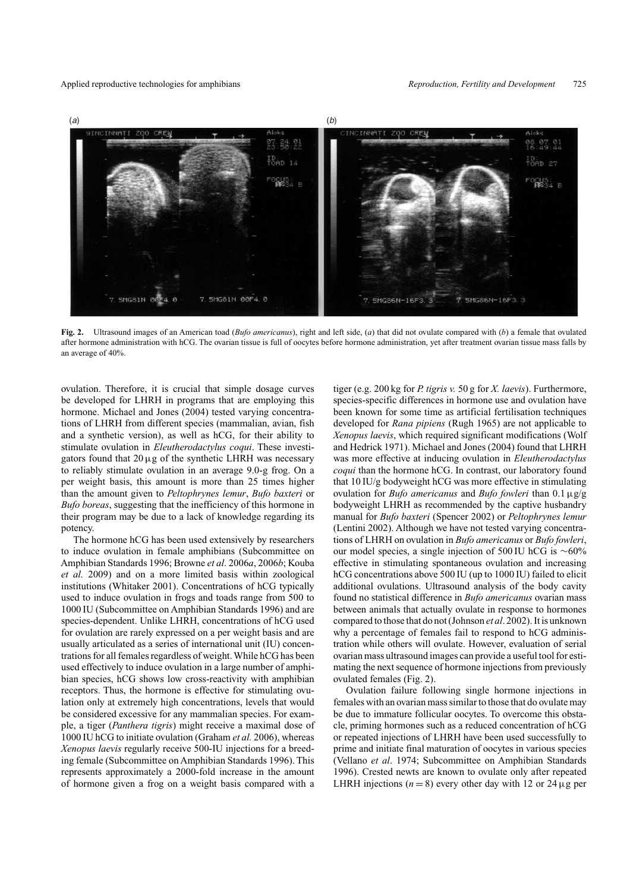

**Fig. 2.** Ultrasound images of an American toad (*Bufo americanus*), right and left side, (*a*) that did not ovulate compared with (*b*) a female that ovulated after hormone administration with hCG. The ovarian tissue is full of oocytes before hormone administration, yet after treatment ovarian tissue mass falls by an average of 40%.

ovulation. Therefore, it is crucial that simple dosage curves be developed for LHRH in programs that are employing this hormone. Michael and Jones (2004) tested varying concentrations of LHRH from different species (mammalian, avian, fish and a synthetic version), as well as hCG, for their ability to stimulate ovulation in *Eleutherodactylus coqui*. These investigators found that  $20 \mu$ g of the synthetic LHRH was necessary to reliably stimulate ovulation in an average 9.0-g frog. On a per weight basis, this amount is more than 25 times higher than the amount given to *Peltophrynes lemur*, *Bufo baxteri* or *Bufo boreas*, suggesting that the inefficiency of this hormone in their program may be due to a lack of knowledge regarding its potency.

The hormone hCG has been used extensively by researchers to induce ovulation in female amphibians (Subcommittee on Amphibian Standards 1996; Browne *et al*. 2006*a*, 2006*b*; Kouba *et al.* 2009) and on a more limited basis within zoological institutions (Whitaker 2001). Concentrations of hCG typically used to induce ovulation in frogs and toads range from 500 to 1000 IU (Subcommittee on Amphibian Standards 1996) and are species-dependent. Unlike LHRH, concentrations of hCG used for ovulation are rarely expressed on a per weight basis and are usually articulated as a series of international unit (IU) concentrations for all females regardless of weight. While hCG has been used effectively to induce ovulation in a large number of amphibian species, hCG shows low cross-reactivity with amphibian receptors. Thus, the hormone is effective for stimulating ovulation only at extremely high concentrations, levels that would be considered excessive for any mammalian species. For example, a tiger (*Panthera tigris*) might receive a maximal dose of 1000 IU hCG to initiate ovulation (Graham *et al.* 2006), whereas *Xenopus laevis* regularly receive 500-IU injections for a breeding female (Subcommittee on Amphibian Standards 1996). This represents approximately a 2000-fold increase in the amount of hormone given a frog on a weight basis compared with a tiger (e.g. 200 kg for *P. tigris v.* 50 g for *X. laevis*). Furthermore, species-specific differences in hormone use and ovulation have been known for some time as artificial fertilisation techniques developed for *Rana pipiens* (Rugh 1965) are not applicable to *Xenopus laevis*, which required significant modifications (Wolf and Hedrick 1971). Michael and Jones (2004) found that LHRH was more effective at inducing ovulation in *Eleutherodactylus coqui* than the hormone hCG. In contrast, our laboratory found that 10 IU/g bodyweight hCG was more effective in stimulating ovulation for *Bufo americanus* and *Bufo fowleri* than 0.1µg/g bodyweight LHRH as recommended by the captive husbandry manual for *Bufo baxteri* (Spencer 2002) or *Peltophrynes lemur* (Lentini 2002). Although we have not tested varying concentrations of LHRH on ovulation in *Bufo americanus* or *Bufo fowleri*, our model species, a single injection of 500 IU hCG is ∼60% effective in stimulating spontaneous ovulation and increasing hCG concentrations above 500 IU (up to 1000 IU) failed to elicit additional ovulations. Ultrasound analysis of the body cavity found no statistical difference in *Bufo americanus* ovarian mass between animals that actually ovulate in response to hormones compared to those that do not (Johnson *et al*. 2002). It is unknown why a percentage of females fail to respond to hCG administration while others will ovulate. However, evaluation of serial ovarian mass ultrasound images can provide a useful tool for estimating the next sequence of hormone injections from previously ovulated females (Fig. 2).

Ovulation failure following single hormone injections in females with an ovarian mass similar to those that do ovulate may be due to immature follicular oocytes. To overcome this obstacle, priming hormones such as a reduced concentration of hCG or repeated injections of LHRH have been used successfully to prime and initiate final maturation of oocytes in various species (Vellano *et al*. 1974; Subcommittee on Amphibian Standards 1996). Crested newts are known to ovulate only after repeated LHRH injections ( $n = 8$ ) every other day with 12 or 24  $\mu$ g per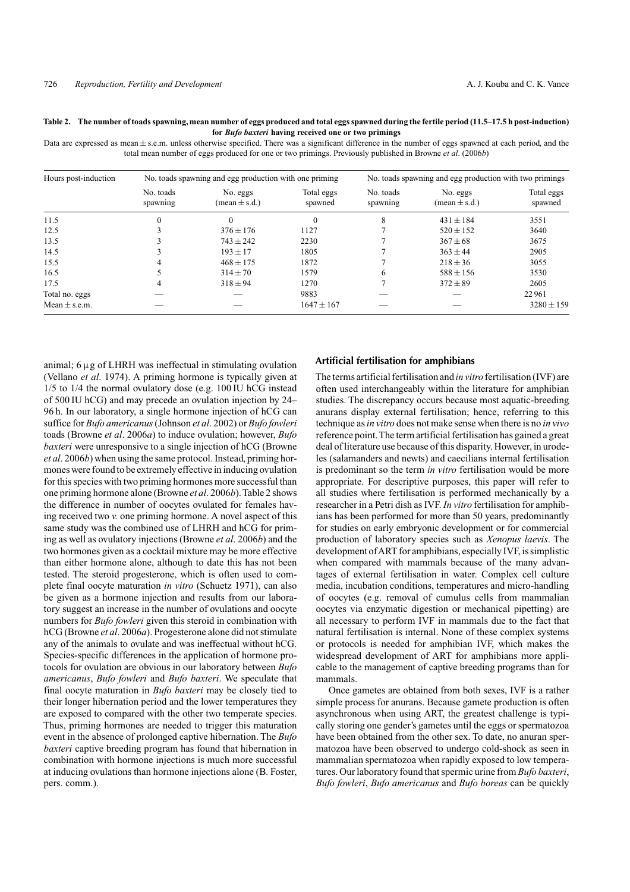### **Table 2. The number of toads spawning, mean number of eggs produced and total eggs spawned during the fertile period (11.5–17.5 h post-induction) for** *Bufo baxteri* **having received one or two primings**

| Hours post-induction |                       | No. toads spawning and egg production with one priming |                       |                       | No. toads spawning and egg production with two primings |                       |
|----------------------|-----------------------|--------------------------------------------------------|-----------------------|-----------------------|---------------------------------------------------------|-----------------------|
|                      | No. toads<br>spawning | No. eggs<br>$(\text{mean} \pm \text{s.d.})$            | Total eggs<br>spawned | No. toads<br>spawning | No. eggs<br>$(\text{mean} \pm \text{s.d.})$             | Total eggs<br>spawned |
| 11.5                 | $\bf{0}$              | $\theta$                                               | $\theta$              | 8                     | $431 \pm 184$                                           | 3551                  |
| 12.5                 |                       | $376 \pm 176$                                          | 1127                  |                       | $520 \pm 152$                                           | 3640                  |
| 13.5                 |                       | $743 + 242$                                            | 2230                  |                       | $367 \pm 68$                                            | 3675                  |
| 14.5                 |                       | $193 + 17$                                             | 1805                  |                       | $363 \pm 44$                                            | 2905                  |
| 15.5                 | 4                     | $468 \pm 175$                                          | 1872                  |                       | $218 \pm 36$                                            | 3055                  |
| 16.5                 |                       | $314 + 70$                                             | 1579                  | 6                     | $588 \pm 156$                                           | 3530                  |
| 17.5                 | 4                     | $318 + 94$                                             | 1270                  |                       | $372 \pm 89$                                            | 2605                  |
| Total no. eggs       |                       |                                                        | 9883                  |                       |                                                         | 22961                 |
| Mean $\pm$ s.e.m.    |                       |                                                        | $1647 \pm 167$        |                       |                                                         | $3280 \pm 159$        |

Data are expressed as mean ± s.e.m. unless otherwise specified. There was a significant difference in the number of eggs spawned at each period, and the total mean number of eggs produced for one or two primings. Previously published in Browne *et al*. (2006*b*)

animal;  $6 \mu g$  of LHRH was ineffectual in stimulating ovulation (Vellano *et al*. 1974). A priming hormone is typically given at 1/5 to 1/4 the normal ovulatory dose (e.g. 100 IU hCG instead of 500 IU hCG) and may precede an ovulation injection by 24– 96 h. In our laboratory, a single hormone injection of hCG can suffice for *Bufo americanus*(Johnson *et al*. 2002) or *Bufo fowleri* toads (Browne *et al*. 2006*a*) to induce ovulation; however, *Bufo baxteri* were unresponsive to a single injection of hCG (Browne *et al*. 2006*b*) when using the same protocol. Instead, priming hormones were found to be extremely effective in inducing ovulation for this species with two priming hormones more successful than one priming hormone alone (Browne *et al*. 2006*b*).Table 2 shows the difference in number of oocytes ovulated for females having received two *v.* one priming hormone. A novel aspect of this same study was the combined use of LHRH and hCG for priming as well as ovulatory injections (Browne *et al*. 2006*b*) and the two hormones given as a cocktail mixture may be more effective than either hormone alone, although to date this has not been tested. The steroid progesterone, which is often used to complete final oocyte maturation *in vitro* (Schuetz 1971), can also be given as a hormone injection and results from our laboratory suggest an increase in the number of ovulations and oocyte numbers for *Bufo fowleri* given this steroid in combination with hCG (Browne *et al*. 2006*a*). Progesterone alone did not stimulate any of the animals to ovulate and was ineffectual without hCG. Species-specific differences in the application of hormone protocols for ovulation are obvious in our laboratory between *Bufo americanus*, *Bufo fowleri* and *Bufo baxteri*. We speculate that final oocyte maturation in *Bufo baxteri* may be closely tied to their longer hibernation period and the lower temperatures they are exposed to compared with the other two temperate species. Thus, priming hormones are needed to trigger this maturation event in the absence of prolonged captive hibernation. The *Bufo baxteri* captive breeding program has found that hibernation in combination with hormone injections is much more successful at inducing ovulations than hormone injections alone (B. Foster, pers. comm.).

# **Artificial fertilisation for amphibians**

The terms artificial fertilisation and *in vitro* fertilisation (IVF) are often used interchangeably within the literature for amphibian studies. The discrepancy occurs because most aquatic-breeding anurans display external fertilisation; hence, referring to this technique as*in vitro* does not make sense when there is no *in vivo* reference point.The term artificial fertilisation has gained a great deal of literature use because of this disparity. However, in urodeles (salamanders and newts) and caecilians internal fertilisation is predominant so the term *in vitro* fertilisation would be more appropriate. For descriptive purposes, this paper will refer to all studies where fertilisation is performed mechanically by a researcher in a Petri dish as IVF. *In vitro* fertilisation for amphibians has been performed for more than 50 years, predominantly for studies on early embryonic development or for commercial production of laboratory species such as *Xenopus laevis*. The development ofART for amphibians, especially IVF, is simplistic when compared with mammals because of the many advantages of external fertilisation in water. Complex cell culture media, incubation conditions, temperatures and micro-handling of oocytes (e.g. removal of cumulus cells from mammalian oocytes via enzymatic digestion or mechanical pipetting) are all necessary to perform IVF in mammals due to the fact that natural fertilisation is internal. None of these complex systems or protocols is needed for amphibian IVF, which makes the widespread development of ART for amphibians more applicable to the management of captive breeding programs than for mammals.

Once gametes are obtained from both sexes, IVF is a rather simple process for anurans. Because gamete production is often asynchronous when using ART, the greatest challenge is typically storing one gender's gametes until the eggs or spermatozoa have been obtained from the other sex. To date, no anuran spermatozoa have been observed to undergo cold-shock as seen in mammalian spermatozoa when rapidly exposed to low temperatures. Our laboratory found that spermic urine from *Bufo baxteri*, *Bufo fowleri*, *Bufo americanus* and *Bufo boreas* can be quickly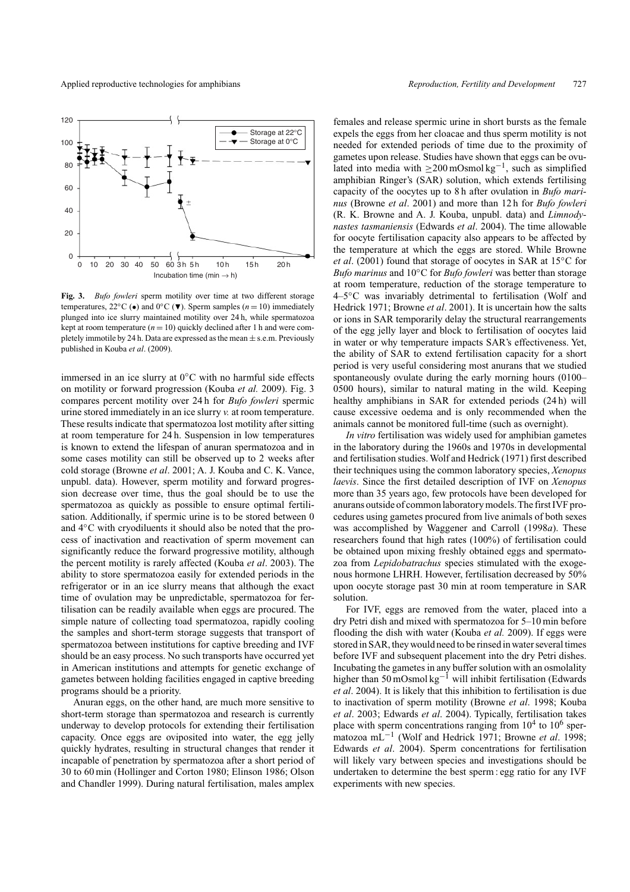

**Fig. 3.** *Bufo fowleri* sperm motility over time at two different storage temperatures, 22°C ( $\bullet$ ) and 0°C ( $\nabla$ ). Sperm samples (*n* = 10) immediately plunged into ice slurry maintained motility over 24 h, while spermatozoa kept at room temperature  $(n = 10)$  quickly declined after 1 h and were completely immotile by 24 h. Data are expressed as the mean  $\pm$  s.e.m. Previously published in Kouba *et al*. (2009).

immersed in an ice slurry at 0◦C with no harmful side effects on motility or forward progression (Kouba *et al.* 2009). Fig. 3 compares percent motility over 24 h for *Bufo fowleri* spermic urine stored immediately in an ice slurry *v.* at room temperature. These results indicate that spermatozoa lost motility after sitting at room temperature for 24 h. Suspension in low temperatures is known to extend the lifespan of anuran spermatozoa and in some cases motility can still be observed up to 2 weeks after cold storage (Browne *et al*. 2001; A. J. Kouba and C. K. Vance, unpubl. data). However, sperm motility and forward progression decrease over time, thus the goal should be to use the spermatozoa as quickly as possible to ensure optimal fertilisation. Additionally, if spermic urine is to be stored between 0 and 4◦C with cryodiluents it should also be noted that the process of inactivation and reactivation of sperm movement can significantly reduce the forward progressive motility, although the percent motility is rarely affected (Kouba *et al*. 2003). The ability to store spermatozoa easily for extended periods in the refrigerator or in an ice slurry means that although the exact time of ovulation may be unpredictable, spermatozoa for fertilisation can be readily available when eggs are procured. The simple nature of collecting toad spermatozoa, rapidly cooling the samples and short-term storage suggests that transport of spermatozoa between institutions for captive breeding and IVF should be an easy process. No such transports have occurred yet in American institutions and attempts for genetic exchange of gametes between holding facilities engaged in captive breeding programs should be a priority.

Anuran eggs, on the other hand, are much more sensitive to short-term storage than spermatozoa and research is currently underway to develop protocols for extending their fertilisation capacity. Once eggs are oviposited into water, the egg jelly quickly hydrates, resulting in structural changes that render it incapable of penetration by spermatozoa after a short period of 30 to 60 min (Hollinger and Corton 1980; Elinson 1986; Olson and Chandler 1999). During natural fertilisation, males amplex females and release spermic urine in short bursts as the female expels the eggs from her cloacae and thus sperm motility is not needed for extended periods of time due to the proximity of gametes upon release. Studies have shown that eggs can be ovulated into media with  $≥$ 200 mOsmol kg<sup>-1</sup>, such as simplified amphibian Ringer's (SAR) solution, which extends fertilising capacity of the oocytes up to 8 h after ovulation in *Bufo marinus* (Browne *et al*. 2001) and more than 12 h for *Bufo fowleri* (R. K. Browne and A. J. Kouba, unpubl. data) and *Limnodynastes tasmaniensis* (Edwards *et al*. 2004). The time allowable for oocyte fertilisation capacity also appears to be affected by the temperature at which the eggs are stored. While Browne *et al.* (2001) found that storage of oocytes in SAR at 15<sup>◦</sup>C for *Bufo marinus* and 10<sup>○</sup>C for *Bufo fowleri* was better than storage at room temperature, reduction of the storage temperature to 4–5◦C was invariably detrimental to fertilisation (Wolf and Hedrick 1971; Browne *et al*. 2001). It is uncertain how the salts or ions in SAR temporarily delay the structural rearrangements of the egg jelly layer and block to fertilisation of oocytes laid in water or why temperature impacts SAR's effectiveness. Yet, the ability of SAR to extend fertilisation capacity for a short period is very useful considering most anurans that we studied spontaneously ovulate during the early morning hours (0100– 0500 hours), similar to natural mating in the wild. Keeping healthy amphibians in SAR for extended periods (24 h) will cause excessive oedema and is only recommended when the animals cannot be monitored full-time (such as overnight).

*In vitro* fertilisation was widely used for amphibian gametes in the laboratory during the 1960s and 1970s in developmental and fertilisation studies. Wolf and Hedrick (1971) first described their techniques using the common laboratory species, *Xenopus laevis*. Since the first detailed description of IVF on *Xenopus* more than 35 years ago, few protocols have been developed for anurans outside of common laboratory models.The first IVF procedures using gametes procured from live animals of both sexes was accomplished by Waggener and Carroll (1998*a*). These researchers found that high rates (100%) of fertilisation could be obtained upon mixing freshly obtained eggs and spermatozoa from *Lepidobatrachus* species stimulated with the exogenous hormone LHRH. However, fertilisation decreased by 50% upon oocyte storage past 30 min at room temperature in SAR solution.

For IVF, eggs are removed from the water, placed into a dry Petri dish and mixed with spermatozoa for 5–10 min before flooding the dish with water (Kouba *et al.* 2009). If eggs were stored in SAR, they would need to be rinsed in water several times before IVF and subsequent placement into the dry Petri dishes. Incubating the gametes in any buffer solution with an osmolality higher than 50 mOsmol kg−<sup>1</sup> will inhibit fertilisation (Edwards *et al*. 2004). It is likely that this inhibition to fertilisation is due to inactivation of sperm motility (Browne *et al*. 1998; Kouba *et al*. 2003; Edwards *et al*. 2004). Typically, fertilisation takes place with sperm concentrations ranging from  $10^4$  to  $10^6$  spermatozoa mL−<sup>1</sup> (Wolf and Hedrick 1971; Browne *et al*. 1998; Edwards *et al*. 2004). Sperm concentrations for fertilisation will likely vary between species and investigations should be undertaken to determine the best sperm : egg ratio for any IVF experiments with new species.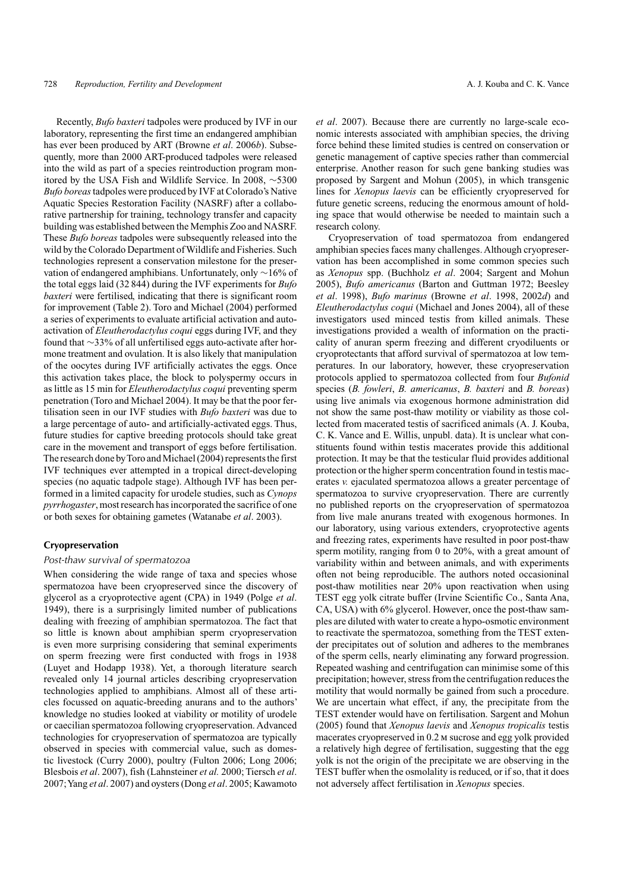Recently, *Bufo baxteri* tadpoles were produced by IVF in our laboratory, representing the first time an endangered amphibian has ever been produced by ART (Browne *et al*. 2006*b*). Subsequently, more than 2000 ART-produced tadpoles were released into the wild as part of a species reintroduction program monitored by the USA Fish and Wildlife Service. In 2008, ∼5300 *Bufo boreas*tadpoles were produced by IVF at Colorado's Native Aquatic Species Restoration Facility (NASRF) after a collaborative partnership for training, technology transfer and capacity building was established between the Memphis Zoo and NASRF. These *Bufo boreas* tadpoles were subsequently released into the wild by the Colorado Department of Wildlife and Fisheries. Such technologies represent a conservation milestone for the preservation of endangered amphibians. Unfortunately, only ∼16% of the total eggs laid (32 844) during the IVF experiments for *Bufo baxteri* were fertilised, indicating that there is significant room for improvement (Table 2). Toro and Michael (2004) performed a series of experiments to evaluate artificial activation and autoactivation of *Eleutherodactylus coqui* eggs during IVF, and they found that ∼33% of all unfertilised eggs auto-activate after hormone treatment and ovulation. It is also likely that manipulation of the oocytes during IVF artificially activates the eggs. Once this activation takes place, the block to polyspermy occurs in as little as 15 min for *Eleutherodactylus coqui* preventing sperm penetration (Toro and Michael 2004). It may be that the poor fertilisation seen in our IVF studies with *Bufo baxteri* was due to a large percentage of auto- and artificially-activated eggs. Thus, future studies for captive breeding protocols should take great care in the movement and transport of eggs before fertilisation. The research done byToro and Michael (2004) represents the first IVF techniques ever attempted in a tropical direct-developing species (no aquatic tadpole stage). Although IVF has been performed in a limited capacity for urodele studies, such as *Cynops pyrrhogaster*, most research has incorporated the sacrifice of one or both sexes for obtaining gametes (Watanabe *et al*. 2003).

# **Cryopreservation**

# *Post-thaw survival of spermatozoa*

When considering the wide range of taxa and species whose spermatozoa have been cryopreserved since the discovery of glycerol as a cryoprotective agent (CPA) in 1949 (Polge *et al*. 1949), there is a surprisingly limited number of publications dealing with freezing of amphibian spermatozoa. The fact that so little is known about amphibian sperm cryopreservation is even more surprising considering that seminal experiments on sperm freezing were first conducted with frogs in 1938 (Luyet and Hodapp 1938). Yet, a thorough literature search revealed only 14 journal articles describing cryopreservation technologies applied to amphibians. Almost all of these articles focussed on aquatic-breeding anurans and to the authors' knowledge no studies looked at viability or motility of urodele or caecilian spermatozoa following cryopreservation. Advanced technologies for cryopreservation of spermatozoa are typically observed in species with commercial value, such as domestic livestock (Curry 2000), poultry (Fulton 2006; Long 2006; Blesbois *et al*. 2007), fish (Lahnsteiner *et al.* 2000; Tiersch *et al*. 2007;Yang *et al*. 2007) and oysters (Dong *et al*. 2005; Kawamoto *et al*. 2007). Because there are currently no large-scale economic interests associated with amphibian species, the driving force behind these limited studies is centred on conservation or genetic management of captive species rather than commercial enterprise. Another reason for such gene banking studies was proposed by Sargent and Mohun (2005), in which transgenic lines for *Xenopus laevis* can be efficiently cryopreserved for future genetic screens, reducing the enormous amount of holding space that would otherwise be needed to maintain such a research colony.

Cryopreservation of toad spermatozoa from endangered amphibian species faces many challenges. Although cryopreservation has been accomplished in some common species such as *Xenopus* spp. (Buchholz *et al*. 2004; Sargent and Mohun 2005), *Bufo americanus* (Barton and Guttman 1972; Beesley *et al*. 1998), *Bufo marinus* (Browne *et al*. 1998, 2002*d*) and *Eleutherodactylus coqui* (Michael and Jones 2004), all of these investigators used minced testis from killed animals. These investigations provided a wealth of information on the practicality of anuran sperm freezing and different cryodiluents or cryoprotectants that afford survival of spermatozoa at low temperatures. In our laboratory, however, these cryopreservation protocols applied to spermatozoa collected from four *Bufonid* species (*B. fowleri*, *B. americanus*, *B. baxteri* and *B. boreas*) using live animals via exogenous hormone administration did not show the same post-thaw motility or viability as those collected from macerated testis of sacrificed animals (A. J. Kouba, C. K. Vance and E. Willis, unpubl. data). It is unclear what constituents found within testis macerates provide this additional protection. It may be that the testicular fluid provides additional protection or the higher sperm concentration found in testis macerates *v.* ejaculated spermatozoa allows a greater percentage of spermatozoa to survive cryopreservation. There are currently no published reports on the cryopreservation of spermatozoa from live male anurans treated with exogenous hormones. In our laboratory, using various extenders, cryoprotective agents and freezing rates, experiments have resulted in poor post-thaw sperm motility, ranging from 0 to 20%, with a great amount of variability within and between animals, and with experiments often not being reproducible. The authors noted occasioninal post-thaw motilities near 20% upon reactivation when using TEST egg yolk citrate buffer (Irvine Scientific Co., Santa Ana, CA, USA) with 6% glycerol. However, once the post-thaw samples are diluted with water to create a hypo-osmotic environment to reactivate the spermatozoa, something from the TEST extender precipitates out of solution and adheres to the membranes of the sperm cells, nearly eliminating any forward progression. Repeated washing and centrifugation can minimise some of this precipitation; however, stress from the centrifugation reduces the motility that would normally be gained from such a procedure. We are uncertain what effect, if any, the precipitate from the TEST extender would have on fertilisation. Sargent and Mohun (2005) found that *Xenopus laevis* and *Xenopus tropicalis* testis macerates cryopreserved in 0.2 m sucrose and egg yolk provided a relatively high degree of fertilisation, suggesting that the egg yolk is not the origin of the precipitate we are observing in the TEST buffer when the osmolality is reduced, or if so, that it does not adversely affect fertilisation in *Xenopus* species.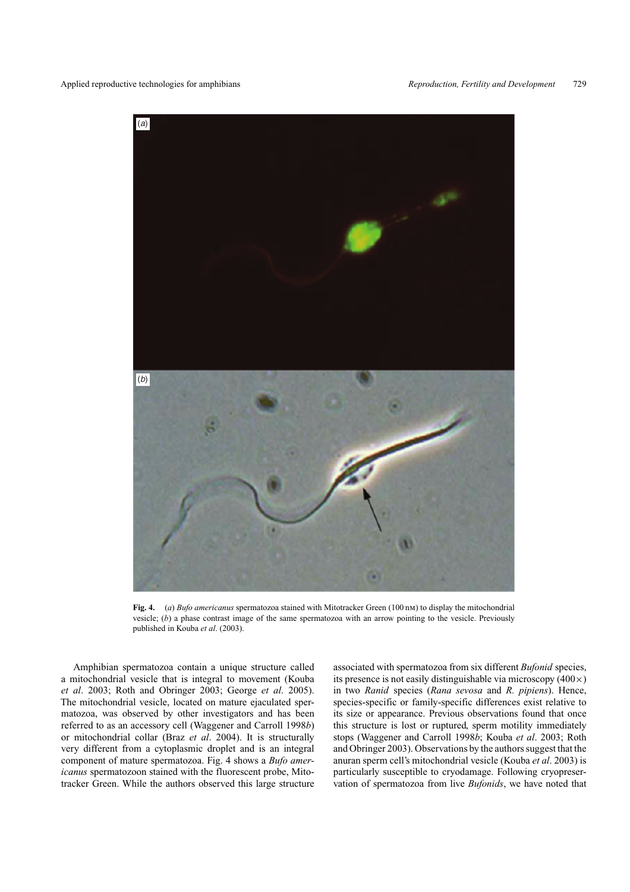

**Fig. 4.** (*a*) *Bufo americanus* spermatozoa stained with Mitotracker Green (100 nm) to display the mitochondrial vesicle; (*b*) a phase contrast image of the same spermatozoa with an arrow pointing to the vesicle. Previously published in Kouba *et al*. (2003).

Amphibian spermatozoa contain a unique structure called a mitochondrial vesicle that is integral to movement (Kouba *et al*. 2003; Roth and Obringer 2003; George *et al*. 2005). The mitochondrial vesicle, located on mature ejaculated spermatozoa, was observed by other investigators and has been referred to as an accessory cell (Waggener and Carroll 1998*b*) or mitochondrial collar (Braz *et al*. 2004). It is structurally very different from a cytoplasmic droplet and is an integral component of mature spermatozoa. Fig. 4 shows a *Bufo americanus* spermatozoon stained with the fluorescent probe, Mitotracker Green. While the authors observed this large structure

associated with spermatozoa from six different *Bufonid* species, its presence is not easily distinguishable via microscopy  $(400 \times)$ in two *Ranid* species (*Rana sevosa* and *R. pipiens*). Hence, species-specific or family-specific differences exist relative to its size or appearance. Previous observations found that once this structure is lost or ruptured, sperm motility immediately stops (Waggener and Carroll 1998*b*; Kouba *et al*. 2003; Roth and Obringer 2003). Observations by the authors suggest that the anuran sperm cell's mitochondrial vesicle (Kouba *et al*. 2003) is particularly susceptible to cryodamage. Following cryopreservation of spermatozoa from live *Bufonids*, we have noted that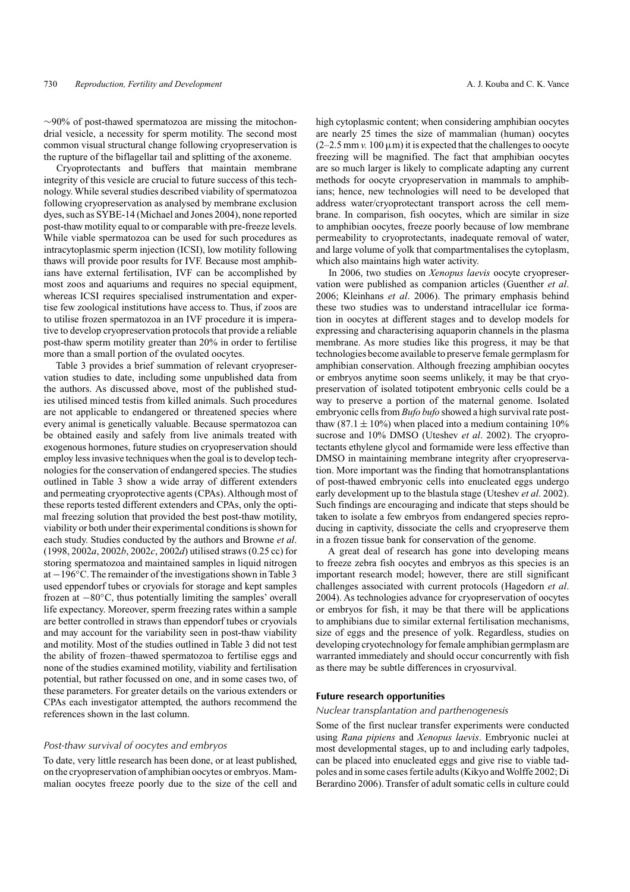∼90% of post-thawed spermatozoa are missing the mitochondrial vesicle, a necessity for sperm motility. The second most common visual structural change following cryopreservation is the rupture of the biflagellar tail and splitting of the axoneme.

Cryoprotectants and buffers that maintain membrane integrity of this vesicle are crucial to future success of this technology. While several studies described viability of spermatozoa following cryopreservation as analysed by membrane exclusion dyes, such as SYBE-14 (Michael and Jones 2004), none reported post-thaw motility equal to or comparable with pre-freeze levels. While viable spermatozoa can be used for such procedures as intracytoplasmic sperm injection (ICSI), low motility following thaws will provide poor results for IVF. Because most amphibians have external fertilisation, IVF can be accomplished by most zoos and aquariums and requires no special equipment, whereas ICSI requires specialised instrumentation and expertise few zoological institutions have access to. Thus, if zoos are to utilise frozen spermatozoa in an IVF procedure it is imperative to develop cryopreservation protocols that provide a reliable post-thaw sperm motility greater than 20% in order to fertilise more than a small portion of the ovulated oocytes.

Table 3 provides a brief summation of relevant cryopreservation studies to date, including some unpublished data from the authors. As discussed above, most of the published studies utilised minced testis from killed animals. Such procedures are not applicable to endangered or threatened species where every animal is genetically valuable. Because spermatozoa can be obtained easily and safely from live animals treated with exogenous hormones, future studies on cryopreservation should employ less invasive techniques when the goal is to develop technologies for the conservation of endangered species. The studies outlined in Table 3 show a wide array of different extenders and permeating cryoprotective agents (CPAs). Although most of these reports tested different extenders and CPAs, only the optimal freezing solution that provided the best post-thaw motility, viability or both under their experimental conditions is shown for each study. Studies conducted by the authors and Browne *et al*. (1998, 2002*a*, 2002*b*, 2002*c*, 2002*d*) utilised straws (0.25 cc) for storing spermatozoa and maintained samples in liquid nitrogen at −196◦C. The remainder of the investigations shown in Table 3 used eppendorf tubes or cryovials for storage and kept samples frozen at  $-80°C$ , thus potentially limiting the samples' overall life expectancy. Moreover, sperm freezing rates within a sample are better controlled in straws than eppendorf tubes or cryovials and may account for the variability seen in post-thaw viability and motility. Most of the studies outlined in Table 3 did not test the ability of frozen–thawed spermatozoa to fertilise eggs and none of the studies examined motility, viability and fertilisation potential, but rather focussed on one, and in some cases two, of these parameters. For greater details on the various extenders or CPAs each investigator attempted, the authors recommend the references shown in the last column.

#### *Post-thaw survival of oocytes and embryos*

To date, very little research has been done, or at least published, on the cryopreservation of amphibian oocytes or embryos. Mammalian oocytes freeze poorly due to the size of the cell and high cytoplasmic content; when considering amphibian oocytes are nearly 25 times the size of mammalian (human) oocytes  $(2-2.5 \text{ mm } v. 100 \mu \text{m})$  it is expected that the challenges to oocyte freezing will be magnified. The fact that amphibian oocytes are so much larger is likely to complicate adapting any current methods for oocyte cryopreservation in mammals to amphibians; hence, new technologies will need to be developed that address water/cryoprotectant transport across the cell membrane. In comparison, fish oocytes, which are similar in size to amphibian oocytes, freeze poorly because of low membrane permeability to cryoprotectants, inadequate removal of water, and large volume of yolk that compartmentalises the cytoplasm, which also maintains high water activity.

In 2006, two studies on *Xenopus laevis* oocyte cryopreservation were published as companion articles (Guenther *et al*. 2006; Kleinhans *et al*. 2006). The primary emphasis behind these two studies was to understand intracellular ice formation in oocytes at different stages and to develop models for expressing and characterising aquaporin channels in the plasma membrane. As more studies like this progress, it may be that technologies become available to preserve female germplasm for amphibian conservation. Although freezing amphibian oocytes or embryos anytime soon seems unlikely, it may be that cryopreservation of isolated totipotent embryonic cells could be a way to preserve a portion of the maternal genome. Isolated embryonic cells from *Bufo bufo* showed a high survival rate postthaw (87.1  $\pm$  10%) when placed into a medium containing 10% sucrose and 10% DMSO (Uteshev *et al*. 2002). The cryoprotectants ethylene glycol and formamide were less effective than DMSO in maintaining membrane integrity after cryopreservation. More important was the finding that homotransplantations of post-thawed embryonic cells into enucleated eggs undergo early development up to the blastula stage (Uteshev *et al*. 2002). Such findings are encouraging and indicate that steps should be taken to isolate a few embryos from endangered species reproducing in captivity, dissociate the cells and cryopreserve them in a frozen tissue bank for conservation of the genome.

A great deal of research has gone into developing means to freeze zebra fish oocytes and embryos as this species is an important research model; however, there are still significant challenges associated with current protocols (Hagedorn *et al*. 2004). As technologies advance for cryopreservation of oocytes or embryos for fish, it may be that there will be applications to amphibians due to similar external fertilisation mechanisms, size of eggs and the presence of yolk. Regardless, studies on developing cryotechnology for female amphibian germplasm are warranted immediately and should occur concurrently with fish as there may be subtle differences in cryosurvival.

# **Future research opportunities**

## *Nuclear transplantation and parthenogenesis*

Some of the first nuclear transfer experiments were conducted using *Rana pipiens* and *Xenopus laevis*. Embryonic nuclei at most developmental stages, up to and including early tadpoles, can be placed into enucleated eggs and give rise to viable tadpoles and in some cases fertile adults (Kikyo and Wolffe 2002; Di Berardino 2006). Transfer of adult somatic cells in culture could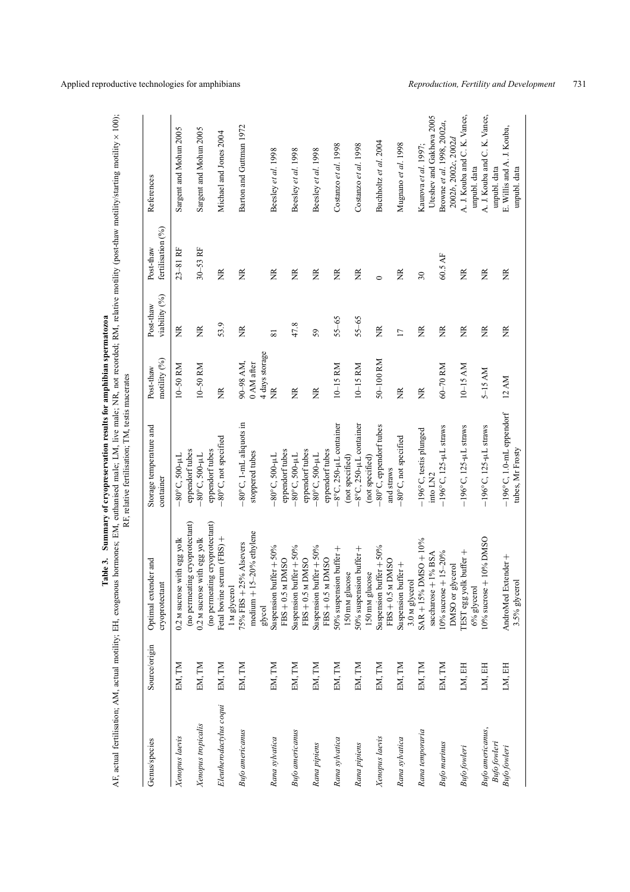|                                         |               | AF, actual fertilisation; AM, actual motility; EH, exogenous hormones; EM, euthanised male; LM, live male; NR, not recorded; RM, relative motility (post-thaw motility/starting motility x 100); | RF, relative fertilisation; TM, testis macerates          |                              |                            |                                |                                                   |
|-----------------------------------------|---------------|--------------------------------------------------------------------------------------------------------------------------------------------------------------------------------------------------|-----------------------------------------------------------|------------------------------|----------------------------|--------------------------------|---------------------------------------------------|
| Genus/species                           | Source/origin | Optimal extender and<br>cryoprotectant                                                                                                                                                           | Storage temperature and<br>container                      | motility $(%)$<br>Post-thaw  | viability (%)<br>Post-thaw | fertilisation (%)<br>Post-thaw | References                                        |
| Xenopus laevis                          | EM, TM        | 0.2 M sucrose with egg yolk                                                                                                                                                                      | $-80^{\circ}$ C, 500- $\mu$ L                             | $10-50$ RM                   | $\widetilde{E}$            | $23 - 81$ RF                   | Sargent and Mohun 2005                            |
| Xenopus tropicalis                      | EM, TM        | (no permeating cryoprotectant)<br>0.2 M sucrose with egg yolk                                                                                                                                    | eppendorf tubes<br>$-80^{\circ}$ C, 500- $\mu$ L          | $10-50$ RM                   | E                          | $30 - 53$ RF                   | Sargent and Mohun 2005                            |
| Eleutherodactylus coqui                 | EM, TM        | (no permeating cryoprotectant)<br>Fetal bovine serum (FBS) +                                                                                                                                     | -80°C, not specified<br>eppendorf tubes                   | $\widetilde{\Xi}$            | 53.9                       | Ĕ                              | Michael and Jones 2004                            |
| <b>Bufo</b> americanus                  | EM, TM        | 75% FBS $+25%$ Alsevers<br>1 M glycerol                                                                                                                                                          | 80°C, 1-mL aliquots in                                    | 90-98 AM,                    | E                          | ž                              | Barton and Guttman 1972                           |
|                                         |               | medium + 15-20% ethylene<br>glycol                                                                                                                                                               | stoppered tubes                                           | 4 days storage<br>0 AM after |                            |                                |                                                   |
| Rana sylvatica                          | EM, TM        | Suspension buffer + 50%                                                                                                                                                                          | $80^{\circ}$ C, 500- $\mu$ L                              | $\widetilde{\Xi}$            | 81                         | ž                              | Beesley et al. 1998                               |
| <b>Bufo</b> americanus                  | EM, TM        | Suspension buffer + 50%<br>FBS+0.5 M DMSO                                                                                                                                                        | eppendorf tubes<br>$-80^{\circ}$ C, 500- $\mu$ L          | $\widetilde{\Xi}$            | 47.8                       | ž                              | Beesley et al. 1998                               |
| Rana pipiens                            | EM, TM        | Suspension buffer + 50%<br>FBS+0.5 MDMSO                                                                                                                                                         | eppendorf tubes<br>$-80^{\circ}$ C, 500- $\mu$ L          | E                            | 59                         | ž                              | Beesley et al. 1998                               |
| Rana sylvatica                          | EM, TM        | 50% suspension buffer +<br>FBS+0.5 MDMSO                                                                                                                                                         | 8°C, 250-µL container<br>eppendorf tubes                  | $10-15$ RM                   | $55 - 65$                  | ž                              | Costanzo et al. 1998                              |
|                                         | EM, TM        | 50% suspension buffer +<br>150 mM glucose                                                                                                                                                        | $-8^{\circ}$ C, 250- $\mu$ L container<br>(not specified) | $10-15$ RM                   | $55 - 65$                  | ž                              | Costanzo et al. 1998                              |
| Rana pipiens                            |               | 150 mM glucose                                                                                                                                                                                   | (not specified)                                           |                              |                            |                                |                                                   |
| Xenopus laevis                          | EM, TM        | Suspension buffer + 50%<br>FBS+0.5 M DMSO                                                                                                                                                        | -80°C, eppendorf tubes<br>and straws                      | 50-100 RM                    | E                          | $\circ$                        | Buchholtz et al. 2004                             |
| Rana sylvatica                          | EM, TM        | Suspension buffer +<br>3.0 M glycerol                                                                                                                                                            | -80°C, not specified                                      | $\widetilde{E}$              | 17                         | Ĕ                              | Mugnano et al. 1998                               |
| Rana temporaria                         | EM, TM        | $SAR + 15%$ DMSO + 10%<br>saccharose + 1% BSA                                                                                                                                                    | -196°C, testis plunged<br>into LN2                        | Ĕ                            | E                          | $\approx$                      | Uteshev and Gakhova 2005<br>Kaurova et al. 1997;  |
| <b>Bufo marinus</b>                     | EM, TM        | $10\%$ sucrose $+ 15 - 20\%$                                                                                                                                                                     | $-196^{\circ}$ C, 125- $\mu$ L straws                     | $60 - 70$ RM                 | $\widetilde{\Xi}$          | 60.5 AF                        | Browne et al. 1998, 2002a,<br>2002b, 2002c, 2002d |
| Bufo fowleri                            | LM, EH        | TEST egg yolk buffer +<br>DMSO or glycerol<br>6% glycerol                                                                                                                                        | $-196^{\circ}$ C, 125- $\mu$ L straws                     | $10-15$ AM                   | $\widetilde{\Xi}$          | Ĕ                              | A. J. Kouba and C. K. Vance,<br>unpubl. data      |
| Bufo americanus,<br><b>Bufo</b> fowleri | LM, EH        | $10\%$ sucrose $+10\%$ DMSO                                                                                                                                                                      | $-196^{\circ}$ C, 125- $\mu$ L straws                     | $5-15$ AM                    | E                          | Ĕ                              | A. J. Kouba and C. K. Vance,<br>unpubl. data      |
| Bufo fowleri                            | LM, EH        | AndroMed Extender +<br>3.5% glycerol                                                                                                                                                             | $-196^{\circ}$ C, 1.0-mL eppendorf<br>tubes, Mr Frosty    | 12 AM                        | $\widetilde{E}$            | Ĕ                              | E. Willis and A. J. Kouba,<br>unpubl. data        |

Table 3. Summary of cryopreservation results for amphibian spermatozoa<br>AF, actual fertilisation; AM, actual motility; EH, exogenous hormones; EM, euthanised male; LM, live male; NR, not recorded; RM, relative motility (pos **Table 3. Summary of cryopreservation results for amphibian spermatozoa**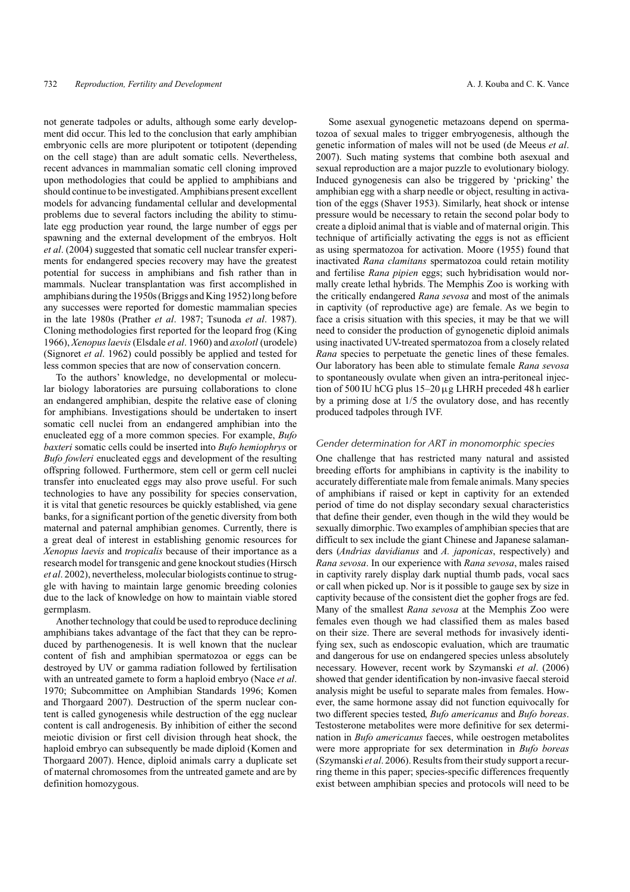not generate tadpoles or adults, although some early development did occur. This led to the conclusion that early amphibian embryonic cells are more pluripotent or totipotent (depending on the cell stage) than are adult somatic cells. Nevertheless, recent advances in mammalian somatic cell cloning improved upon methodologies that could be applied to amphibians and should continue to be investigated.Amphibians present excellent models for advancing fundamental cellular and developmental problems due to several factors including the ability to stimulate egg production year round, the large number of eggs per spawning and the external development of the embryos. Holt *et al*. (2004) suggested that somatic cell nuclear transfer experiments for endangered species recovery may have the greatest potential for success in amphibians and fish rather than in mammals. Nuclear transplantation was first accomplished in amphibians during the 1950s (Briggs and King 1952) long before any successes were reported for domestic mammalian species in the late 1980s (Prather *et al*. 1987; Tsunoda *et al*. 1987). Cloning methodologies first reported for the leopard frog (King 1966), *Xenopus laevis*(Elsdale *et al*. 1960) and *axolotl* (urodele) (Signoret *et al*. 1962) could possibly be applied and tested for less common species that are now of conservation concern.

To the authors' knowledge, no developmental or molecular biology laboratories are pursuing collaborations to clone an endangered amphibian, despite the relative ease of cloning for amphibians. Investigations should be undertaken to insert somatic cell nuclei from an endangered amphibian into the enucleated egg of a more common species. For example, *Bufo baxteri* somatic cells could be inserted into *Bufo hemiophrys* or *Bufo fowleri* enucleated eggs and development of the resulting offspring followed. Furthermore, stem cell or germ cell nuclei transfer into enucleated eggs may also prove useful. For such technologies to have any possibility for species conservation, it is vital that genetic resources be quickly established, via gene banks, for a significant portion of the genetic diversity from both maternal and paternal amphibian genomes. Currently, there is a great deal of interest in establishing genomic resources for *Xenopus laevis* and *tropicalis* because of their importance as a research model for transgenic and gene knockout studies (Hirsch *et al*. 2002), nevertheless, molecular biologists continue to struggle with having to maintain large genomic breeding colonies due to the lack of knowledge on how to maintain viable stored germplasm.

Another technology that could be used to reproduce declining amphibians takes advantage of the fact that they can be reproduced by parthenogenesis. It is well known that the nuclear content of fish and amphibian spermatozoa or eggs can be destroyed by UV or gamma radiation followed by fertilisation with an untreated gamete to form a haploid embryo (Nace *et al*. 1970; Subcommittee on Amphibian Standards 1996; Komen and Thorgaard 2007). Destruction of the sperm nuclear content is called gynogenesis while destruction of the egg nuclear content is call androgenesis. By inhibition of either the second meiotic division or first cell division through heat shock, the haploid embryo can subsequently be made diploid (Komen and Thorgaard 2007). Hence, diploid animals carry a duplicate set of maternal chromosomes from the untreated gamete and are by definition homozygous.

Some asexual gynogenetic metazoans depend on spermatozoa of sexual males to trigger embryogenesis, although the genetic information of males will not be used (de Meeus *et al*. 2007). Such mating systems that combine both asexual and sexual reproduction are a major puzzle to evolutionary biology. Induced gynogenesis can also be triggered by 'pricking' the amphibian egg with a sharp needle or object, resulting in activation of the eggs (Shaver 1953). Similarly, heat shock or intense pressure would be necessary to retain the second polar body to create a diploid animal that is viable and of maternal origin. This technique of artificially activating the eggs is not as efficient as using spermatozoa for activation. Moore (1955) found that inactivated *Rana clamitans* spermatozoa could retain motility and fertilise *Rana pipien* eggs; such hybridisation would normally create lethal hybrids. The Memphis Zoo is working with the critically endangered *Rana sevosa* and most of the animals in captivity (of reproductive age) are female. As we begin to face a crisis situation with this species, it may be that we will need to consider the production of gynogenetic diploid animals using inactivated UV-treated spermatozoa from a closely related *Rana* species to perpetuate the genetic lines of these females. Our laboratory has been able to stimulate female *Rana sevosa* to spontaneously ovulate when given an intra-peritoneal injection of 500 IU hCG plus  $15-20 \mu$ g LHRH preceded 48 h earlier by a priming dose at 1/5 the ovulatory dose, and has recently produced tadpoles through IVF.

# *Gender determination for ART in monomorphic species*

One challenge that has restricted many natural and assisted breeding efforts for amphibians in captivity is the inability to accurately differentiate male from female animals. Many species of amphibians if raised or kept in captivity for an extended period of time do not display secondary sexual characteristics that define their gender, even though in the wild they would be sexually dimorphic. Two examples of amphibian species that are difficult to sex include the giant Chinese and Japanese salamanders (*Andrias davidianus* and *A. japonicas*, respectively) and *Rana sevosa*. In our experience with *Rana sevosa*, males raised in captivity rarely display dark nuptial thumb pads, vocal sacs or call when picked up. Nor is it possible to gauge sex by size in captivity because of the consistent diet the gopher frogs are fed. Many of the smallest *Rana sevosa* at the Memphis Zoo were females even though we had classified them as males based on their size. There are several methods for invasively identifying sex, such as endoscopic evaluation, which are traumatic and dangerous for use on endangered species unless absolutely necessary. However, recent work by Szymanski *et al*. (2006) showed that gender identification by non-invasive faecal steroid analysis might be useful to separate males from females. However, the same hormone assay did not function equivocally for two different species tested, *Bufo americanus* and *Bufo boreas*. Testosterone metabolites were more definitive for sex determination in *Bufo americanus* faeces, while oestrogen metabolites were more appropriate for sex determination in *Bufo boreas* (Szymanski *et al*. 2006). Results from their study support a recurring theme in this paper; species-specific differences frequently exist between amphibian species and protocols will need to be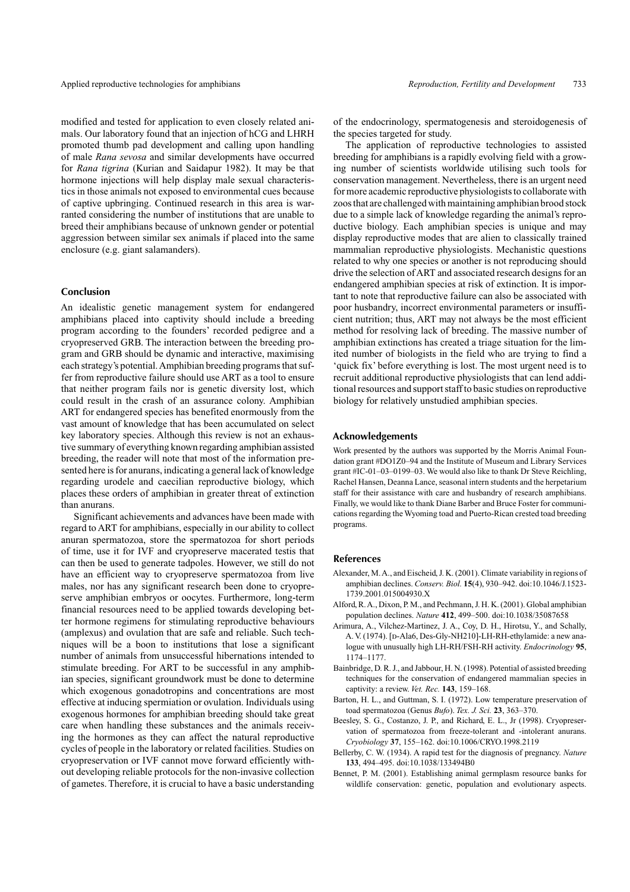enclosure (e.g. giant salamanders).

modified and tested for application to even closely related animals. Our laboratory found that an injection of hCG and LHRH promoted thumb pad development and calling upon handling of male *Rana sevosa* and similar developments have occurred for *Rana tigrina* (Kurian and Saidapur 1982). It may be that hormone injections will help display male sexual characteristics in those animals not exposed to environmental cues because of captive upbringing. Continued research in this area is warranted considering the number of institutions that are unable to breed their amphibians because of unknown gender or potential aggression between similar sex animals if placed into the same

## **Conclusion**

An idealistic genetic management system for endangered amphibians placed into captivity should include a breeding program according to the founders' recorded pedigree and a cryopreserved GRB. The interaction between the breeding program and GRB should be dynamic and interactive, maximising each strategy's potential.Amphibian breeding programs that suffer from reproductive failure should use ART as a tool to ensure that neither program fails nor is genetic diversity lost, which could result in the crash of an assurance colony. Amphibian ART for endangered species has benefited enormously from the vast amount of knowledge that has been accumulated on select key laboratory species. Although this review is not an exhaustive summary of everything known regarding amphibian assisted breeding, the reader will note that most of the information presented here is for anurans, indicating a general lack of knowledge regarding urodele and caecilian reproductive biology, which places these orders of amphibian in greater threat of extinction than anurans.

Significant achievements and advances have been made with regard to ART for amphibians, especially in our ability to collect anuran spermatozoa, store the spermatozoa for short periods of time, use it for IVF and cryopreserve macerated testis that can then be used to generate tadpoles. However, we still do not have an efficient way to cryopreserve spermatozoa from live males, nor has any significant research been done to cryopreserve amphibian embryos or oocytes. Furthermore, long-term financial resources need to be applied towards developing better hormone regimens for stimulating reproductive behaviours (amplexus) and ovulation that are safe and reliable. Such techniques will be a boon to institutions that lose a significant number of animals from unsuccessful hibernations intended to stimulate breeding. For ART to be successful in any amphibian species, significant groundwork must be done to determine which exogenous gonadotropins and concentrations are most effective at inducing spermiation or ovulation. Individuals using exogenous hormones for amphibian breeding should take great care when handling these substances and the animals receiving the hormones as they can affect the natural reproductive cycles of people in the laboratory or related facilities. Studies on cryopreservation or IVF cannot move forward efficiently without developing reliable protocols for the non-invasive collection of gametes. Therefore, it is crucial to have a basic understanding of the endocrinology, spermatogenesis and steroidogenesis of the species targeted for study.

The application of reproductive technologies to assisted breeding for amphibians is a rapidly evolving field with a growing number of scientists worldwide utilising such tools for conservation management. Nevertheless, there is an urgent need for more academic reproductive physiologists to collaborate with zoos that are challenged with maintaining amphibian brood stock due to a simple lack of knowledge regarding the animal's reproductive biology. Each amphibian species is unique and may display reproductive modes that are alien to classically trained mammalian reproductive physiologists. Mechanistic questions related to why one species or another is not reproducing should drive the selection ofART and associated research designs for an endangered amphibian species at risk of extinction. It is important to note that reproductive failure can also be associated with poor husbandry, incorrect environmental parameters or insufficient nutrition; thus, ART may not always be the most efficient method for resolving lack of breeding. The massive number of amphibian extinctions has created a triage situation for the limited number of biologists in the field who are trying to find a 'quick fix' before everything is lost. The most urgent need is to recruit additional reproductive physiologists that can lend additional resources and support staff to basic studies on reproductive biology for relatively unstudied amphibian species.

## **Acknowledgements**

Work presented by the authors was supported by the Morris Animal Foundation grant #DO1Z0–94 and the Institute of Museum and Library Services grant #IC-01–03–0199–03. We would also like to thank Dr Steve Reichling, Rachel Hansen, Deanna Lance, seasonal intern students and the herpetarium staff for their assistance with care and husbandry of research amphibians. Finally, we would like to thank Diane Barber and Bruce Foster for communications regarding the Wyoming toad and Puerto-Rican crested toad breeding programs.

# **References**

- Alexander, M.A., and Eischeid, J. K. (2001). Climate variability in regions of amphibian declines. *Conserv. Biol.* **15**(4), 930–942. doi:10.1046/J.1523- 1739.2001.015004930.X
- Alford, R.A., Dixon, P. M., and Pechmann, J. H. K. (2001). Global amphibian population declines. *Nature* **412**, 499–500. doi:10.1038/35087658
- Arimura, A., Vilchez-Martinez, J. A., Coy, D. H., Hirotsu, Y., and Schally, A. V. (1974). [D-Ala6, Des-Gly-NH210]-LH-RH-ethylamide: a new analogue with unusually high LH-RH/FSH-RH activity. *Endocrinology* **95**, 1174–1177.
- Bainbridge, D. R. J., and Jabbour, H. N. (1998). Potential of assisted breeding techniques for the conservation of endangered mammalian species in captivity: a review. *Vet. Rec.* **143**, 159–168.
- Barton, H. L., and Guttman, S. I. (1972). Low temperature preservation of toad spermatozoa (Genus *Bufo*). *Tex. J. Sci.* **23**, 363–370.
- Beesley, S. G., Costanzo, J. P., and Richard, E. L., Jr (1998). Cryopreservation of spermatozoa from freeze-tolerant and -intolerant anurans. *Cryobiology* **37**, 155–162. doi:10.1006/CRYO.1998.2119
- Bellerby, C. W. (1934). A rapid test for the diagnosis of pregnancy. *Nature* **133**, 494–495. doi:10.1038/133494B0
- Bennet, P. M. (2001). Establishing animal germplasm resource banks for wildlife conservation: genetic, population and evolutionary aspects.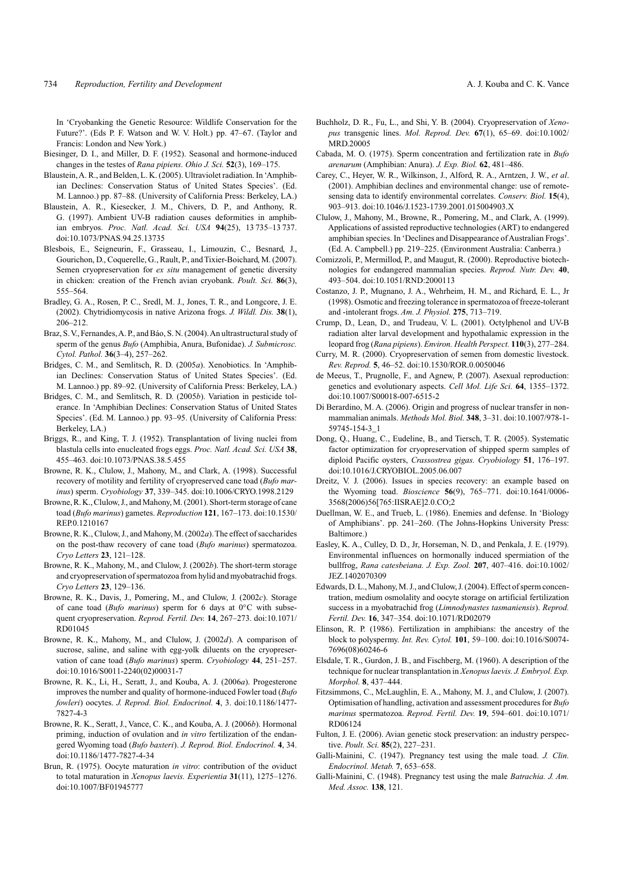In 'Cryobanking the Genetic Resource: Wildlife Conservation for the Future?'. (Eds P. F. Watson and W. V. Holt.) pp. 47–67. (Taylor and Francis: London and New York.)

- Biesinger, D. I., and Miller, D. F. (1952). Seasonal and hormone-induced changes in the testes of *Rana pipiens. Ohio J. Sci.* **52**(3), 169–175.
- Blaustein,A. R., and Belden, L. K. (2005). Ultraviolet radiation. In 'Amphibian Declines: Conservation Status of United States Species'. (Ed. M. Lannoo.) pp. 87–88. (University of California Press: Berkeley, LA.)
- Blaustein, A. R., Kiesecker, J. M., Chivers, D. P., and Anthony, R. G. (1997). Ambient UV-B radiation causes deformities in amphibian embryos. *Proc. Natl. Acad. Sci. USA* **94**(25), 13 735–13 737. doi:10.1073/PNAS.94.25.13735
- Blesbois, E., Seigneurin, F., Grasseau, I., Limouzin, C., Besnard, J., Gourichon, D., Coquerelle, G., Rault, P., and Tixier-Boichard, M. (2007). Semen cryopreservation for *ex situ* management of genetic diversity in chicken: creation of the French avian cryobank. *Poult. Sci.* **86**(3), 555–564.
- Bradley, G. A., Rosen, P. C., Sredl, M. J., Jones, T. R., and Longcore, J. E. (2002). Chytridiomycosis in native Arizona frogs. *J. Wildl. Dis.* **38**(1), 206–212.
- Braz, S.V., Fernandes,A. P., and Báo, S. N. (2004).An ultrastructural study of sperm of the genus *Bufo* (Amphibia, Anura, Bufonidae). *J. Submicrosc. Cytol. Pathol.* **36**(3–4), 257–262.
- Bridges, C. M., and Semlitsch, R. D. (2005*a*). Xenobiotics. In 'Amphibian Declines: Conservation Status of United States Species'. (Ed. M. Lannoo.) pp. 89–92. (University of California Press: Berkeley, LA.)
- Bridges, C. M., and Semlitsch, R. D. (2005*b*). Variation in pesticide tolerance. In 'Amphibian Declines: Conservation Status of United States Species'. (Ed. M. Lannoo.) pp. 93–95. (University of California Press: Berkeley, LA.)
- Briggs, R., and King, T. J. (1952). Transplantation of living nuclei from blastula cells into enucleated frogs eggs. *Proc. Natl. Acad. Sci. USA* **38**, 455–463. doi:10.1073/PNAS.38.5.455
- Browne, R. K., Clulow, J., Mahony, M., and Clark, A. (1998). Successful recovery of motility and fertility of cryopreserved cane toad (*Bufo marinus*) sperm. *Cryobiology* **37**, 339–345. doi:10.1006/CRYO.1998.2129
- Browne, R. K., Clulow, J., and Mahony, M. (2001). Short-term storage of cane toad (*Bufo marinus*) gametes. *Reproduction* **121**, 167–173. doi:10.1530/ REP.0.1210167
- Browne, R. K., Clulow, J., and Mahony, M. (2002*a*).The effect of saccharides on the post-thaw recovery of cane toad (*Bufo marinus*) spermatozoa. *Cryo Letters* **23**, 121–128.
- Browne, R. K., Mahony, M., and Clulow, J. (2002*b*). The short-term storage and cryopreservation of spermatozoa from hylid and myobatrachid frogs. *Cryo Letters* **23**, 129–136.
- Browne, R. K., Davis, J., Pomering, M., and Clulow, J. (2002*c*). Storage of cane toad (*Bufo marinus*) sperm for 6 days at 0◦C with subsequent cryopreservation. *Reprod. Fertil. Dev.* **14**, 267–273. doi:10.1071/ RD01045
- Browne, R. K., Mahony, M., and Clulow, J. (2002*d*). A comparison of sucrose, saline, and saline with egg-yolk diluents on the cryopreservation of cane toad (*Bufo marinus*) sperm. *Cryobiology* **44**, 251–257. doi:10.1016/S0011-2240(02)00031-7
- Browne, R. K., Li, H., Seratt, J., and Kouba, A. J. (2006*a*). Progesterone improves the number and quality of hormone-induced Fowler toad (*Bufo fowleri*) oocytes. *J. Reprod. Biol. Endocrinol.* **4**, 3. doi:10.1186/1477- 7827-4-3
- Browne, R. K., Seratt, J., Vance, C. K., and Kouba, A. J. (2006*b*). Hormonal priming, induction of ovulation and *in vitro* fertilization of the endangered Wyoming toad (*Bufo baxteri*). *J. Reprod. Biol. Endocrinol.* **4**, 34. doi:10.1186/1477-7827-4-34
- Brun, R. (1975). Oocyte maturation *in vitro*: contribution of the oviduct to total maturation in *Xenopus laevis. Experientia* **31**(11), 1275–1276. doi:10.1007/BF01945777
- Buchholz, D. R., Fu, L., and Shi, Y. B. (2004). Cryopreservation of *Xenopus* transgenic lines. *Mol. Reprod. Dev.* **67**(1), 65–69. doi:10.1002/ MRD.20005
- Cabada, M. O. (1975). Sperm concentration and fertilization rate in *Bufo arenarum* (Amphibian: Anura). *J. Exp. Biol.* **62**, 481–486.
- Carey, C., Heyer, W. R., Wilkinson, J., Alford, R. A., Arntzen, J. W., *et al*. (2001). Amphibian declines and environmental change: use of remotesensing data to identify environmental correlates. *Conserv. Biol.* **15**(4), 903–913. doi:10.1046/J.1523-1739.2001.015004903.X
- Clulow, J., Mahony, M., Browne, R., Pomering, M., and Clark, A. (1999). Applications of assisted reproductive technologies (ART) to endangered amphibian species. In 'Declines and Disappearance of Australian Frogs'. (Ed. A. Campbell.) pp. 219–225. (Environment Australia: Canberra.)
- Comizzoli, P., Mermillod, P., and Maugut, R. (2000). Reproductive biotechnologies for endangered mammalian species. *Reprod. Nutr. Dev.* **40**, 493–504. doi:10.1051/RND:2000113
- Costanzo, J. P., Mugnano, J. A., Wehrheim, H. M., and Richard, E. L., Jr (1998). Osmotic and freezing tolerance in spermatozoa of freeze-tolerant and -intolerant frogs. *Am. J. Physiol.* **275**, 713–719.
- Crump, D., Lean, D., and Trudeau, V. L. (2001). Octylphenol and UV-B radiation alter larval development and hypothalamic expression in the leopard frog (*Rana pipiens*). *Environ. Health Perspect.* **110**(3), 277–284.
- Curry, M. R. (2000). Cryopreservation of semen from domestic livestock. *Rev. Reprod.* **5**, 46–52. doi:10.1530/ROR.0.0050046
- de Meeus, T., Prugnolle, F., and Agnew, P. (2007). Asexual reproduction: genetics and evolutionary aspects. *Cell Mol. Life Sci.* **64**, 1355–1372. doi:10.1007/S00018-007-6515-2
- Di Berardino, M. A. (2006). Origin and progress of nuclear transfer in nonmammalian animals. *Methods Mol. Biol.* **348**, 3–31. doi:10.1007/978-1- 59745-154-3\_1
- Dong, Q., Huang, C., Eudeline, B., and Tiersch, T. R. (2005). Systematic factor optimization for cryopreservation of shipped sperm samples of diploid Pacific oysters, *Crassostrea gigas. Cryobiology* **51**, 176–197. doi:10.1016/J.CRYOBIOL.2005.06.007
- Dreitz, V. J. (2006). Issues in species recovery: an example based on the Wyoming toad. *Bioscience* **56**(9), 765–771. doi:10.1641/0006- 3568(2006)56[765:IISRAE]2.0.CO;2
- Duellman, W. E., and Trueb, L. (1986). Enemies and defense. In 'Biology of Amphibians'. pp. 241–260. (The Johns-Hopkins University Press: Baltimore.)
- Easley, K. A., Culley, D. D., Jr, Horseman, N. D., and Penkala, J. E. (1979). Environmental influences on hormonally induced spermiation of the bullfrog, *Rana catesbeiana. J. Exp. Zool.* **207**, 407–416. doi:10.1002/ JEZ.1402070309
- Edwards, D. L., Mahony, M. J., and Clulow, J. (2004). Effect of sperm concentration, medium osmolality and oocyte storage on artificial fertilization success in a myobatrachid frog (*Limnodynastes tasmaniensis*). *Reprod. Fertil. Dev.* **16**, 347–354. doi:10.1071/RD02079
- Elinson, R. P. (1986). Fertilization in amphibians: the ancestry of the block to polyspermy. *Int. Rev. Cytol.* **101**, 59–100. doi:10.1016/S0074- 7696(08)60246-6
- Elsdale, T. R., Gurdon, J. B., and Fischberg, M. (1960). A description of the technique for nuclear transplantation in *Xenopus laevis. J. Embryol. Exp. Morphol.* **8**, 437–444.
- Fitzsimmons, C., McLaughlin, E. A., Mahony, M. J., and Clulow, J. (2007). Optimisation of handling, activation and assessment procedures for *Bufo marinus* spermatozoa. *Reprod. Fertil. Dev.* **19**, 594–601. doi:10.1071/ RD06124
- Fulton, J. E. (2006). Avian genetic stock preservation: an industry perspective. *Poult. Sci.* **85**(2), 227–231.
- Galli-Mainini, C. (1947). Pregnancy test using the male toad. *J. Clin. Endocrinol. Metab.* **7**, 653–658.
- Galli-Mainini, C. (1948). Pregnancy test using the male *Batrachia. J. Am. Med. Assoc.* **138**, 121.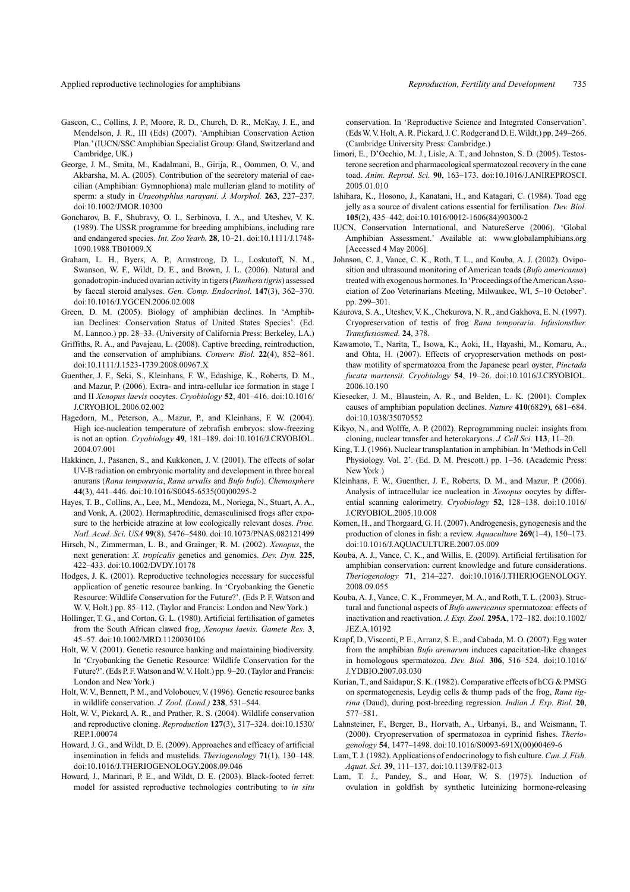Applied reproductive technologies for amphibians *Reproduction, Fertility and Development* 735

- Gascon, C., Collins, J. P., Moore, R. D., Church, D. R., McKay, J. E., and Mendelson, J. R., III (Eds) (2007). 'Amphibian Conservation Action Plan.'(IUCN/SSC Amphibian Specialist Group: Gland, Switzerland and Cambridge, UK.)
- George, J. M., Smita, M., Kadalmani, B., Girija, R., Oommen, O. V., and Akbarsha, M. A. (2005). Contribution of the secretory material of caecilian (Amphibian: Gymnophiona) male mullerian gland to motility of sperm: a study in *Uraeotyphlus narayani*. *J. Morphol.* **263**, 227–237. doi:10.1002/JMOR.10300
- Goncharov, B. F., Shubravy, O. I., Serbinova, I. A., and Uteshev, V. K. (1989). The USSR programme for breeding amphibians, including rare and endangered species. *Int. Zoo Yearb.* **28**, 10–21. doi:10.1111/J.1748- 1090.1988.TB01009.X
- Graham, L. H., Byers, A. P., Armstrong, D. L., Loskutoff, N. M., Swanson, W. F., Wildt, D. E., and Brown, J. L. (2006). Natural and gonadotropin-induced ovarian activity in tigers (*Panthera tigris*) assessed by faecal steroid analyses. *Gen. Comp. Endocrinol.* **147**(3), 362–370. doi:10.1016/J.YGCEN.2006.02.008
- Green, D. M. (2005). Biology of amphibian declines. In 'Amphibian Declines: Conservation Status of United States Species'. (Ed. M. Lannoo.) pp. 28–33. (University of California Press: Berkeley, LA.)
- Griffiths, R. A., and Pavajeau, L. (2008). Captive breeding, reintroduction, and the conservation of amphibians. *Conserv. Biol.* **22**(4), 852–861. doi:10.1111/J.1523-1739.2008.00967.X
- Guenther, J. F., Seki, S., Kleinhans, F. W., Edashige, K., Roberts, D. M., and Mazur, P. (2006). Extra- and intra-cellular ice formation in stage I and II *Xenopus laevis* oocytes. *Cryobiology* **52**, 401–416. doi:10.1016/ J.CRYOBIOL.2006.02.002
- Hagedorn, M., Peterson, A., Mazur, P., and Kleinhans, F. W. (2004). High ice-nucleation temperature of zebrafish embryos: slow-freezing is not an option. *Cryobiology* **49**, 181–189. doi:10.1016/J.CRYOBIOL. 2004.07.001
- Hakkinen, J., Pasanen, S., and Kukkonen, J. V. (2001). The effects of solar UV-B radiation on embryonic mortality and development in three boreal anurans (*Rana temporaria*, *Rana arvalis* and *Bufo bufo*). *Chemosphere* **44**(3), 441–446. doi:10.1016/S0045-6535(00)00295-2
- Hayes, T. B., Collins, A., Lee, M., Mendoza, M., Noriega, N., Stuart, A. A., and Vonk, A. (2002). Hermaphroditic, demasculinised frogs after exposure to the herbicide atrazine at low ecologically relevant doses. *Proc. Natl. Acad. Sci. USA* **99**(8), 5476–5480. doi:10.1073/PNAS.082121499
- Hirsch, N., Zimmerman, L. B., and Grainger, R. M. (2002). *Xenopus*, the next generation: *X. tropicalis* genetics and genomics. *Dev. Dyn.* **225**, 422–433. doi:10.1002/DVDY.10178
- Hodges, J. K. (2001). Reproductive technologies necessary for successful application of genetic resource banking. In 'Cryobanking the Genetic Resource: Wildlife Conservation for the Future?'. (Eds P. F. Watson and W. V. Holt.) pp. 85–112. (Taylor and Francis: London and New York.)
- Hollinger, T. G., and Corton, G. L. (1980). Artificial fertilisation of gametes from the South African clawed frog, *Xenopus laevis. Gamete Res.* **3**, 45–57. doi:10.1002/MRD.1120030106
- Holt, W. V. (2001). Genetic resource banking and maintaining biodiversity. In 'Cryobanking the Genetic Resource: Wildlife Conservation for the Future?'. (Eds P. F. Watson and W.V. Holt.) pp. 9–20. (Taylor and Francis: London and New York.)
- Holt, W. V., Bennett, P. M., and Volobouev, V. (1996). Genetic resource banks in wildlife conservation. *J. Zool. (Lond.)* **238**, 531–544.
- Holt, W. V., Pickard, A. R., and Prather, R. S. (2004). Wildlife conservation and reproductive cloning. *Reproduction* **127**(3), 317–324. doi:10.1530/ REP.1.00074
- Howard, J. G., and Wildt, D. E. (2009). Approaches and efficacy of artificial insemination in felids and mustelids. *Theriogenology* **71**(1), 130–148. doi:10.1016/J.THERIOGENOLOGY.2008.09.046
- Howard, J., Marinari, P. E., and Wildt, D. E. (2003). Black-footed ferret: model for assisted reproductive technologies contributing to *in situ*

conservation. In 'Reproductive Science and Integrated Conservation'. (Eds W.V. Holt,A. R. Pickard, J. C. Rodger and D. E. Wildt.) pp. 249–266. (Cambridge University Press: Cambridge.)

- Iimori, E., D'Occhio, M. J., Lisle, A. T., and Johnston, S. D. (2005). Testosterone secretion and pharmacological spermatozoal recovery in the cane toad. *Anim. Reprod. Sci.* **90**, 163–173. doi:10.1016/J.ANIREPROSCI. 2005.01.010
- Ishihara, K., Hosono, J., Kanatani, H., and Katagari, C. (1984). Toad egg jelly as a source of divalent cations essential for fertilisation. *Dev. Biol.* **105**(2), 435–442. doi:10.1016/0012-1606(84)90300-2
- IUCN, Conservation International, and NatureServe (2006). 'Global Amphibian Assessment.' Available at: www.globalamphibians.org [Accessed 4 May 2006].
- Johnson, C. J., Vance, C. K., Roth, T. L., and Kouba, A. J. (2002). Oviposition and ultrasound monitoring of American toads (*Bufo americanus*) treated with exogenous hormones. In 'Proceedings of theAmericanAssociation of Zoo Veterinarians Meeting, Milwaukee, WI, 5–10 October'. pp. 299–301.
- Kaurova, S. A., Uteshev, V. K., Chekurova, N. R., and Gakhova, E. N. (1997). Cryopreservation of testis of frog *Rana temporaria*. *Infusionsther. Transfusiosmed.* **24**, 378.
- Kawamoto, T., Narita, T., Isowa, K., Aoki, H., Hayashi, M., Komaru, A., and Ohta, H. (2007). Effects of cryopreservation methods on postthaw motility of spermatozoa from the Japanese pearl oyster, *Pinctada fucata martensii. Cryobiology* **54**, 19–26. doi:10.1016/J.CRYOBIOL. 2006.10.190
- Kiesecker, J. M., Blaustein, A. R., and Belden, L. K. (2001). Complex causes of amphibian population declines. *Nature* **410**(6829), 681–684. doi:10.1038/35070552
- Kikyo, N., and Wolffe, A. P. (2002). Reprogramming nuclei: insights from cloning, nuclear transfer and heterokaryons. *J. Cell Sci.* **113**, 11–20.
- King, T. J. (1966). Nuclear transplantation in amphibian. In 'Methods in Cell Physiology. Vol. 2'. (Ed. D. M. Prescott.) pp. 1–36. (Academic Press: New York.)
- Kleinhans, F. W., Guenther, J. F., Roberts, D. M., and Mazur, P. (2006). Analysis of intracellular ice nucleation in *Xenopus* oocytes by differential scanning calorimetry. *Cryobiology* **52**, 128–138. doi:10.1016/ J.CRYOBIOL.2005.10.008
- Komen, H., and Thorgaard, G. H. (2007).Androgenesis, gynogenesis and the production of clones in fish: a review. *Aquaculture* **269**(1–4), 150–173. doi:10.1016/J.AQUACULTURE.2007.05.009
- Kouba, A. J., Vance, C. K., and Willis, E. (2009). Artificial fertilisation for amphibian conservation: current knowledge and future considerations. *Theriogenology* **71**, 214–227. doi:10.1016/J.THERIOGENOLOGY. 2008.09.055
- Kouba, A. J., Vance, C. K., Frommeyer, M. A., and Roth, T. L. (2003). Structural and functional aspects of *Bufo americanus* spermatozoa: effects of inactivation and reactivation. *J. Exp. Zool.* **295A**, 172–182. doi:10.1002/ JEZ.A.10192
- Krapf, D., Visconti, P. E., Arranz, S. E., and Cabada, M. O. (2007). Egg water from the amphibian *Bufo arenarum* induces capacitation-like changes in homologous spermatozoa. *Dev. Biol.* **306**, 516–524. doi:10.1016/ J.YDBIO.2007.03.030
- Kurian, T., and Saidapur, S. K. (1982). Comparative effects of hCG & PMSG on spermatogenesis, Leydig cells & thump pads of the frog, *Rana tigrina* (Daud), during post-breeding regression. *Indian J. Exp. Biol.* **20**, 577–581.
- Lahnsteiner, F., Berger, B., Horvath, A., Urbanyi, B., and Weismann, T. (2000). Cryopreservation of spermatozoa in cyprinid fishes. *Theriogenology* **54**, 1477–1498. doi:10.1016/S0093-691X(00)00469-6
- Lam, T. J. (1982). Applications of endocrinology to fish culture. *Can. J. Fish. Aquat. Sci.* **39**, 111–137. doi:10.1139/F82-013
- Lam, T. J., Pandey, S., and Hoar, W. S. (1975). Induction of ovulation in goldfish by synthetic luteinizing hormone-releasing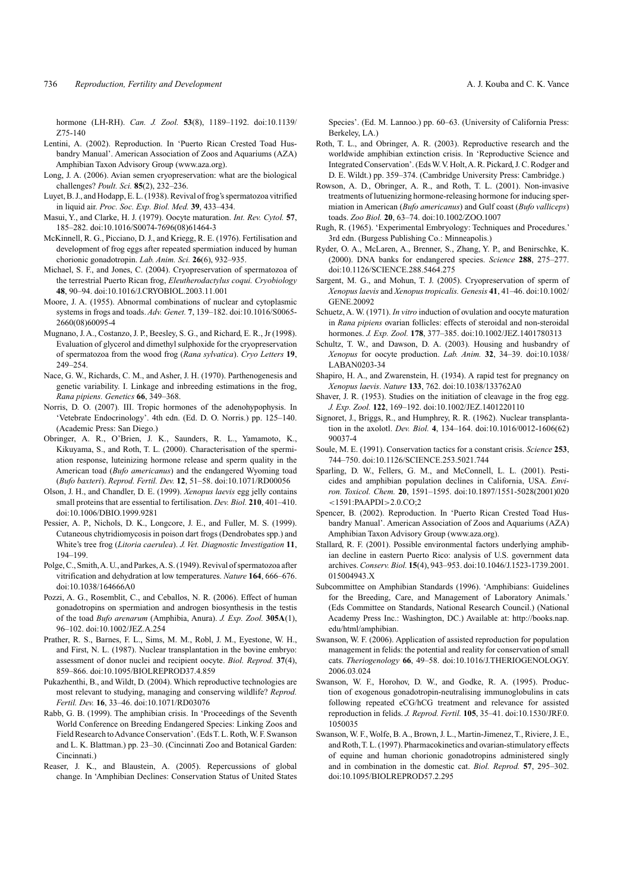hormone (LH-RH). *Can. J. Zool.* **53**(8), 1189–1192. doi:10.1139/ Z75-140

- Lentini, A. (2002). Reproduction. In 'Puerto Rican Crested Toad Husbandry Manual'. American Association of Zoos and Aquariums (AZA) Amphibian Taxon Advisory Group (www.aza.org).
- Long, J. A. (2006). Avian semen cryopreservation: what are the biological challenges? *Poult. Sci.* **85**(2), 232–236.
- Luyet, B. J., and Hodapp, E. L. (1938). Revival of frog's spermatozoa vitrified in liquid air. *Proc. Soc. Exp. Biol. Med.* **39**, 433–434.
- Masui, Y., and Clarke, H. J. (1979). Oocyte maturation. *Int. Rev. Cytol.* **57**, 185–282. doi:10.1016/S0074-7696(08)61464-3
- McKinnell, R. G., Picciano, D. J., and Kriegg, R. E. (1976). Fertilisation and development of frog eggs after repeated spermiation induced by human chorionic gonadotropin. *Lab. Anim. Sci.* **26**(6), 932–935.
- Michael, S. F., and Jones, C. (2004). Cryopreservation of spermatozoa of the terrestrial Puerto Rican frog, *Eleutherodactylus coqui. Cryobiology* **48**, 90–94. doi:10.1016/J.CRYOBIOL.2003.11.001
- Moore, J. A. (1955). Abnormal combinations of nuclear and cytoplasmic systems in frogs and toads. *Adv. Genet.* **7**, 139–182. doi:10.1016/S0065- 2660(08)60095-4
- Mugnano, J. A., Costanzo, J. P., Beesley, S. G., and Richard, E. R., Jr (1998). Evaluation of glycerol and dimethyl sulphoxide for the cryopreservation of spermatozoa from the wood frog (*Rana sylvatica*). *Cryo Letters* **19**, 249–254.
- Nace, G. W., Richards, C. M., and Asher, J. H. (1970). Parthenogenesis and genetic variability. I. Linkage and inbreeding estimations in the frog, *Rana pipiens. Genetics* **66**, 349–368.
- Norris, D. O. (2007). III. Tropic hormones of the adenohypophysis. In 'Vetebrate Endocrinology'. 4th edn. (Ed. D. O. Norris.) pp. 125–140. (Academic Press: San Diego.)
- Obringer, A. R., O'Brien, J. K., Saunders, R. L., Yamamoto, K., Kikuyama, S., and Roth, T. L. (2000). Characterisation of the spermiation response, luteinizing hormone release and sperm quality in the American toad (*Bufo americanus*) and the endangered Wyoming toad (*Bufo baxteri*). *Reprod. Fertil. Dev.* **12**, 51–58. doi:10.1071/RD00056
- Olson, J. H., and Chandler, D. E. (1999). *Xenopus laevis* egg jelly contains small proteins that are essential to fertilisation. *Dev. Biol.* **210**, 401–410. doi:10.1006/DBIO.1999.9281
- Pessier, A. P., Nichols, D. K., Longcore, J. E., and Fuller, M. S. (1999). Cutaneous chytridiomycosis in poison dart frogs (Dendrobates spp.) and White's tree frog (*Litoria caerulea*). *J. Vet. Diagnostic Investigation* **11**, 194–199.
- Polge, C., Smith,A. U., and Parkes,A. S. (1949). Revival of spermatozoa after vitrification and dehydration at low temperatures. *Nature* **164**, 666–676. doi:10.1038/164666A0
- Pozzi, A. G., Rosemblit, C., and Ceballos, N. R. (2006). Effect of human gonadotropins on spermiation and androgen biosynthesis in the testis of the toad *Bufo arenarum* (Amphibia, Anura). *J. Exp. Zool.* **305A**(1), 96–102. doi:10.1002/JEZ.A.254
- Prather, R. S., Barnes, F. L., Sims, M. M., Robl, J. M., Eyestone, W. H., and First, N. L. (1987). Nuclear transplantation in the bovine embryo: assessment of donor nuclei and recipient oocyte. *Biol. Reprod.* **37**(4), 859–866. doi:10.1095/BIOLREPROD37.4.859
- Pukazhenthi, B., and Wildt, D. (2004). Which reproductive technologies are most relevant to studying, managing and conserving wildlife? *Reprod. Fertil. Dev.* **16**, 33–46. doi:10.1071/RD03076
- Rabb, G. B. (1999). The amphibian crisis. In 'Proceedings of the Seventh World Conference on Breeding Endangered Species: Linking Zoos and Field Research to Advance Conservation'. (Eds T. L. Roth, W. F. Swanson and L. K. Blattman.) pp. 23–30. (Cincinnati Zoo and Botanical Garden: Cincinnati.)
- Reaser, J. K., and Blaustein, A. (2005). Repercussions of global change. In 'Amphibian Declines: Conservation Status of United States

Species'. (Ed. M. Lannoo.) pp. 60–63. (University of California Press:

- Berkeley, LA.) Roth, T. L., and Obringer, A. R. (2003). Reproductive research and the worldwide amphibian extinction crisis. In 'Reproductive Science and Integrated Conservation'. (Eds W.V. Holt,A. R. Pickard, J. C. Rodger and D. E. Wildt.) pp. 359–374. (Cambridge University Press: Cambridge.)
- Rowson, A. D., Obringer, A. R., and Roth, T. L. (2001). Non-invasive treatments of lutuenizing hormone-releasing hormone for inducing spermiation in American (*Bufo americanus*) and Gulf coast (*Bufo valliceps*) toads. *Zoo Biol.* **20**, 63–74. doi:10.1002/ZOO.1007
- Rugh, R. (1965). 'Experimental Embryology: Techniques and Procedures.' 3rd edn. (Burgess Publishing Co.: Minneapolis.)
- Ryder, O. A., McLaren, A., Brenner, S., Zhang, Y. P., and Benirschke, K. (2000). DNA banks for endangered species. *Science* **288**, 275–277. doi:10.1126/SCIENCE.288.5464.275
- Sargent, M. G., and Mohun, T. J. (2005). Cryopreservation of sperm of *Xenopus laevis* and *Xenopus tropicalis. Genesis* **41**, 41–46. doi:10.1002/ GENE.20092
- Schuetz, A. W. (1971). *In vitro* induction of ovulation and oocyte maturation in *Rana pipiens* ovarian follicles: effects of steroidal and non-steroidal hormones. *J. Exp. Zool.* **178**, 377–385. doi:10.1002/JEZ.1401780313
- Schultz, T. W., and Dawson, D. A. (2003). Housing and husbandry of *Xenopus* for oocyte production. *Lab. Anim.* **32**, 34–39. doi:10.1038/ LABAN0203-34
- Shapiro, H. A., and Zwarenstein, H. (1934). A rapid test for pregnancy on *Xenopus laevis*. *Nature* **133**, 762. doi:10.1038/133762A0
- Shaver, J. R. (1953). Studies on the initiation of cleavage in the frog egg. *J. Exp. Zool.* **122**, 169–192. doi:10.1002/JEZ.1401220110
- Signoret, J., Briggs, R., and Humphrey, R. R. (1962). Nuclear transplantation in the axolotl. *Dev. Biol.* **4**, 134–164. doi:10.1016/0012-1606(62) 90037-4
- Soule, M. E. (1991). Conservation tactics for a constant crisis. *Science* **253**, 744–750. doi:10.1126/SCIENCE.253.5021.744
- Sparling, D. W., Fellers, G. M., and McConnell, L. L. (2001). Pesticides and amphibian population declines in California, USA. *Environ. Toxicol. Chem.* **20**, 1591–1595. doi:10.1897/1551-5028(2001)020 *<*1591:PAAPDI*>*2.0.CO;2
- Spencer, B. (2002). Reproduction. In 'Puerto Rican Crested Toad Husbandry Manual'. American Association of Zoos and Aquariums (AZA) Amphibian Taxon Advisory Group (www.aza.org).
- Stallard, R. F. (2001). Possible environmental factors underlying amphibian decline in eastern Puerto Rico: analysis of U.S. government data archives. *Conserv. Biol.* **15**(4), 943–953. doi:10.1046/J.1523-1739.2001. 015004943.X
- Subcommittee on Amphibian Standards (1996). 'Amphibians: Guidelines for the Breeding, Care, and Management of Laboratory Animals.' (Eds Committee on Standards, National Research Council.) (National Academy Press Inc.: Washington, DC.) Available at: http://books.nap. edu/html/amphibian.
- Swanson, W. F. (2006). Application of assisted reproduction for population management in felids: the potential and reality for conservation of small cats. *Theriogenology* **66**, 49–58. doi:10.1016/J.THERIOGENOLOGY. 2006.03.024
- Swanson, W. F., Horohov, D. W., and Godke, R. A. (1995). Production of exogenous gonadotropin-neutralising immunoglobulins in cats following repeated eCG/hCG treatment and relevance for assisted reproduction in felids. *J. Reprod. Fertil.* **105**, 35–41. doi:10.1530/JRF.0. 1050035
- Swanson, W. F., Wolfe, B. A., Brown, J. L., Martin-Jimenez, T., Riviere, J. E., and Roth,T. L. (1997). Pharmacokinetics and ovarian-stimulatory effects of equine and human chorionic gonadotropins administered singly and in combination in the domestic cat. *Biol. Reprod.* **57**, 295–302. doi:10.1095/BIOLREPROD57.2.295